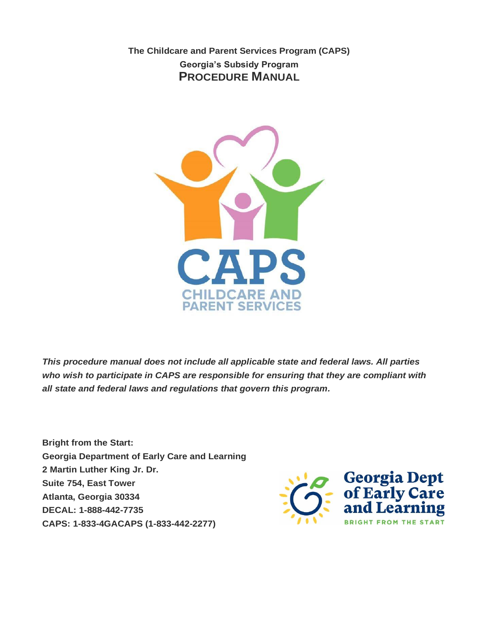**The Childcare and Parent Services Program (CAPS) Georgia's Subsidy Program PROCEDURE MANUAL** 



*This procedure manual does not include all applicable state and federal laws. All parties who wish to participate in CAPS are responsible for ensuring that they are compliant with all state and federal laws and regulations that govern this program.* 

**Bright from the Start: Georgia Department of Early Care and Learning 2 Martin Luther King Jr. Dr. Suite 754, East Tower Atlanta, Georgia 30334 DECAL: 1-888-442-7735 CAPS: 1-833-4GACAPS (1-833-442-2277)**

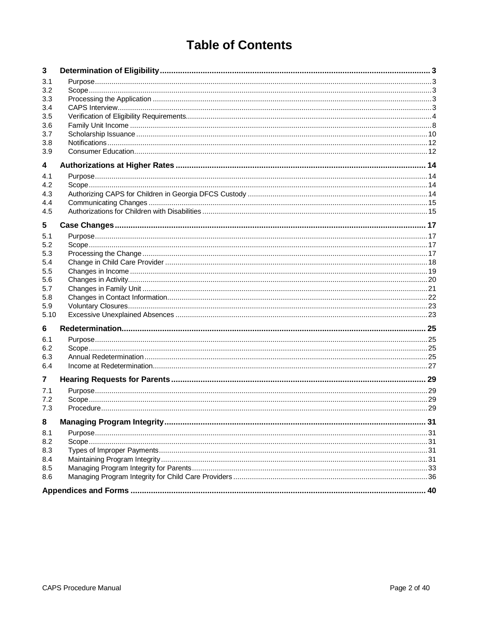# **Table of Contents**

| 3          |  |
|------------|--|
| 3.1        |  |
| 3.2        |  |
| 3.3        |  |
| 3.4        |  |
| 3.5        |  |
| 3.6        |  |
| 3.7        |  |
| 3.8<br>3.9 |  |
|            |  |
| 4          |  |
| 4.1        |  |
| 4.2        |  |
| 4.3        |  |
| 4.4<br>4.5 |  |
|            |  |
| 5          |  |
| 5.1        |  |
| 5.2<br>5.3 |  |
| 5.4        |  |
| 5.5        |  |
| 5.6        |  |
| 5.7        |  |
| 5.8        |  |
| 5.9        |  |
| 5.10       |  |
| 6          |  |
| 6.1        |  |
| 6.2        |  |
| 6.3        |  |
| 6.4        |  |
| 7          |  |
| 7.1        |  |
| 7.2        |  |
| 7.3        |  |
| 8          |  |
| 8.1        |  |
| 8.2        |  |
| 8.3        |  |
| 8.4        |  |
| 8.5        |  |
| 8.6        |  |
|            |  |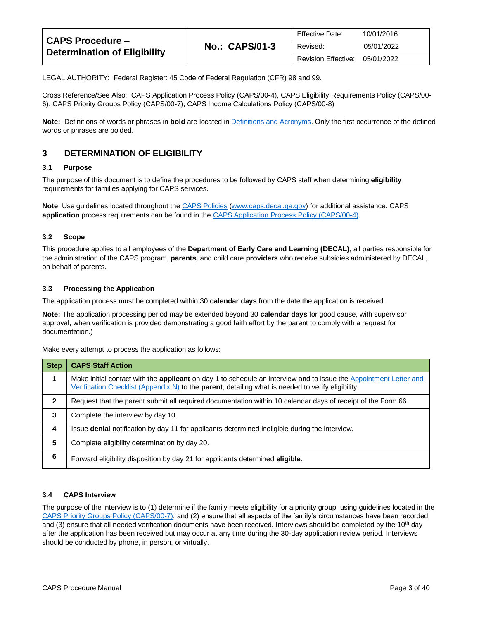| <b>CAPS Procedure –</b><br><b>Determination of Eligibility</b> |                       | <b>Effective Date:</b> | 10/01/2016 |
|----------------------------------------------------------------|-----------------------|------------------------|------------|
|                                                                | <b>No.: CAPS/01-3</b> | Revised:               | 05/01/2022 |
|                                                                |                       | Revision Effective:    | 05/01/2022 |

LEGAL AUTHORITY: Federal Register: 45 Code of Federal Regulation (CFR) 98 and 99.

Cross Reference/See Also: CAPS Application Process Policy (CAPS/00-4), CAPS Eligibility Requirements Policy (CAPS/00- 6), CAPS Priority Groups Policy (CAPS/00-7), CAPS Income Calculations Policy (CAPS/00-8)

**Note:** Definitions of words or phrases in **bold** are located i[n Definitions and Acronyms.](https://caps.decal.ga.gov/assets/downloads/CAPS/02-CAPS_Policy-Definitions%20and%20Acronyms.pdf) Only the first occurrence of the defined words or phrases are bolded.

## <span id="page-2-0"></span>**3 DETERMINATION OF ELIGIBILITY**

#### <span id="page-2-1"></span>**3.1 Purpose**

The purpose of this document is to define the procedures to be followed by CAPS staff when determining **eligibility** requirements for families applying for CAPS services.

**Note**: Use guidelines located throughout the [CAPS Policies](http://www.caps.decal.ga.gov/en/Policy/) [\(www.caps.decal.ga.gov\)](http://www.caps.decal.ga.gov/) for additional assistance. CAPS **application** process requirements can be found in the [CAPS Application Process Policy \(CAPS/00-4\).](https://caps.decal.ga.gov/assets/downloads/CAPS/04-CAPS_Policy-Application%20Process.pdf)

#### <span id="page-2-2"></span>**3.2 Scope**

This procedure applies to all employees of the **Department of Early Care and Learning (DECAL)**, all parties responsible for the administration of the CAPS program, **parents,** and child care **providers** who receive subsidies administered by DECAL, on behalf of parents.

#### <span id="page-2-3"></span>**3.3 Processing the Application**

The application process must be completed within 30 **calendar days** from the date the application is received.

**Note:** The application processing period may be extended beyond 30 **calendar days** for good cause, with supervisor approval, when verification is provided demonstrating a good faith effort by the parent to comply with a request for documentation.)

Make every attempt to process the application as follows:

| <b>Step</b>  | <b>CAPS Staff Action</b>                                                                                                                                                                                                       |
|--------------|--------------------------------------------------------------------------------------------------------------------------------------------------------------------------------------------------------------------------------|
|              | Make initial contact with the <b>applicant</b> on day 1 to schedule an interview and to issue the Appointment Letter and<br>Verification Checklist (Appendix N) to the parent, detailing what is needed to verify eligibility. |
| $\mathbf{2}$ | Request that the parent submit all required documentation within 10 calendar days of receipt of the Form 66.                                                                                                                   |
| 3            | Complete the interview by day 10.                                                                                                                                                                                              |
| 4            | Issue <b>denial</b> notification by day 11 for applicants determined ineligible during the interview.                                                                                                                          |
| 5            | Complete eligibility determination by day 20.                                                                                                                                                                                  |
| 6            | Forward eligibility disposition by day 21 for applicants determined eligible.                                                                                                                                                  |

#### <span id="page-2-4"></span>**3.4 CAPS Interview**

The purpose of the interview is to (1) determine if the family meets eligibility for a priority group, using guidelines located in the [CAPS Priority Groups Policy \(CAPS/00-7\);](https://caps.decal.ga.gov/assets/downloads/CAPS/07-CAPS_Policy-Priority%20Groups.pdf) and (2) ensure that all aspects of the family's circumstances have been recorded; and (3) ensure that all needed verification documents have been received. Interviews should be completed by the  $10<sup>th</sup>$  day after the application has been received but may occur at any time during the 30-day application review period. Interviews should be conducted by phone, in person, or virtually.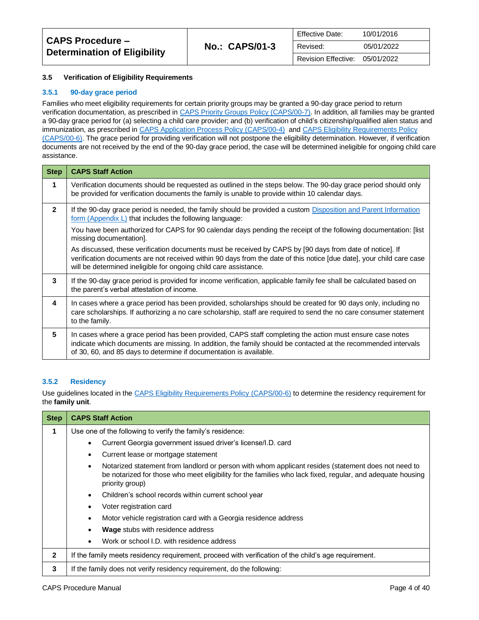#### <span id="page-3-0"></span>**3.5 Verification of Eligibility Requirements**

#### **3.5.1 90-day grace period**

Families who meet eligibility requirements for certain priority groups may be granted a 90-day grace period to return verification documentation, as prescribed i[n CAPS Priority Groups Policy \(CAPS/00-7\).](https://caps.decal.ga.gov/assets/downloads/CAPS/07-CAPS_Policy-Priority%20Groups.pdf) In addition, all families may be granted a 90-day grace period for (a) selecting a child care provider; and (b) verification of child's citizenship/qualified alien status and immunization, as prescribed in [CAPS Application Process Policy \(CAPS/00-4\)](https://caps.decal.ga.gov/assets/downloads/CAPS/04-CAPS_Policy-Application%20Process.pdf) an[d CAPS Eligibility Requirements Policy](https://caps.decal.ga.gov/assets/downloads/CAPS/06-CAPS_Policy-Eligibility%20Requirements.pdf)  [\(CAPS/00-6\).](https://caps.decal.ga.gov/assets/downloads/CAPS/06-CAPS_Policy-Eligibility%20Requirements.pdf) The grace period for providing verification will not postpone the eligibility determination. However, if verification documents are not received by the end of the 90-day grace period, the case will be determined ineligible for ongoing child care assistance.

| <b>Step</b>    | <b>CAPS Staff Action</b>                                                                                                                                                                                                                                                                             |
|----------------|------------------------------------------------------------------------------------------------------------------------------------------------------------------------------------------------------------------------------------------------------------------------------------------------------|
| 1              | Verification documents should be requested as outlined in the steps below. The 90-day grace period should only<br>be provided for verification documents the family is unable to provide within 10 calendar days.                                                                                    |
| $\overline{2}$ | If the 90-day grace period is needed, the family should be provided a custom Disposition and Parent Information<br><u>form (Appendix L)</u> that includes the following language:                                                                                                                    |
|                | You have been authorized for CAPS for 90 calendar days pending the receipt of the following documentation: [list<br>missing documentation].                                                                                                                                                          |
|                | As discussed, these verification documents must be received by CAPS by [90 days from date of notice]. If<br>verification documents are not received within 90 days from the date of this notice [due date], your child care case<br>will be determined ineligible for ongoing child care assistance. |
| 3              | If the 90-day grace period is provided for income verification, applicable family fee shall be calculated based on<br>the parent's verbal attestation of income.                                                                                                                                     |
| 4              | In cases where a grace period has been provided, scholarships should be created for 90 days only, including no<br>care scholarships. If authorizing a no care scholarship, staff are required to send the no care consumer statement<br>to the family.                                               |
| 5              | In cases where a grace period has been provided, CAPS staff completing the action must ensure case notes<br>indicate which documents are missing. In addition, the family should be contacted at the recommended intervals<br>of 30, 60, and 85 days to determine if documentation is available.     |

#### **3.5.2 Residency**

Use guidelines located in th[e CAPS Eligibility Requirements Policy \(CAPS/00-6\)](https://caps.decal.ga.gov/assets/downloads/CAPS/06-CAPS_Policy-Eligibility%20Requirements.pdf) to determine the residency requirement for the **family unit**.

| <b>Step</b>  | <b>CAPS Staff Action</b>                                                                                                                                                                                                                          |
|--------------|---------------------------------------------------------------------------------------------------------------------------------------------------------------------------------------------------------------------------------------------------|
| 1            | Use one of the following to verify the family's residence:                                                                                                                                                                                        |
|              | Current Georgia government issued driver's license/I.D. card                                                                                                                                                                                      |
|              | Current lease or mortgage statement<br>$\bullet$                                                                                                                                                                                                  |
|              | Notarized statement from landlord or person with whom applicant resides (statement does not need to<br>$\bullet$<br>be notarized for those who meet eligibility for the families who lack fixed, regular, and adequate housing<br>priority group) |
|              | Children's school records within current school year<br>$\bullet$                                                                                                                                                                                 |
|              | Voter registration card                                                                                                                                                                                                                           |
|              | Motor vehicle registration card with a Georgia residence address                                                                                                                                                                                  |
|              | <b>Wage</b> stubs with residence address                                                                                                                                                                                                          |
|              | Work or school I.D. with residence address                                                                                                                                                                                                        |
| $\mathbf{2}$ | If the family meets residency requirement, proceed with verification of the child's age requirement.                                                                                                                                              |
| 3            | If the family does not verify residency requirement, do the following:                                                                                                                                                                            |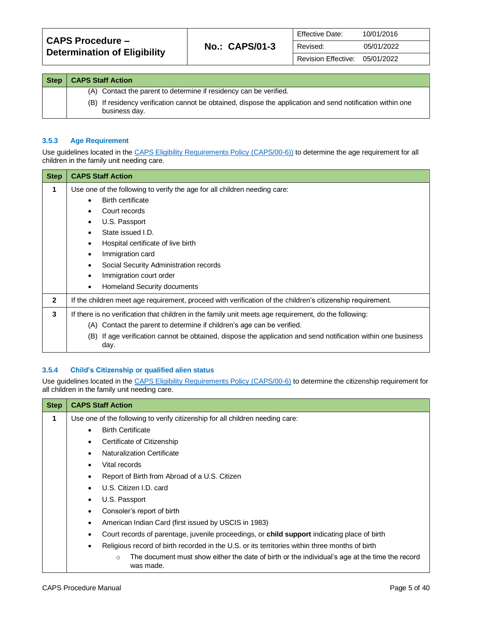| <b>CAPS Procedure -</b><br><b>Determination of Eligibility</b> | <b>No.: CAPS/01-3</b> | <b>Effective Date:</b> | 10/01/2016 |
|----------------------------------------------------------------|-----------------------|------------------------|------------|
|                                                                |                       | Revised:               | 05/01/2022 |
|                                                                |                       | Revision Effective:    | 05/01/2022 |

| <b>Step</b> | <b>CAPS Staff Action</b>                                                                                                    |
|-------------|-----------------------------------------------------------------------------------------------------------------------------|
|             | (A) Contact the parent to determine if residency can be verified.                                                           |
|             | (B) If residency verification cannot be obtained, dispose the application and send notification within one<br>business day. |

#### **3.5.3 Age Requirement**

Use guidelines located in th[e CAPS Eligibility Requirements Policy \(CAPS/00-6\)\)](https://caps.decal.ga.gov/assets/downloads/CAPS/06-CAPS_Policy-Eligibility%20Requirements.pdf) to determine the age requirement for all children in the family unit needing care.

| <b>Step</b>  | <b>CAPS Staff Action</b>                                                                                                 |
|--------------|--------------------------------------------------------------------------------------------------------------------------|
| 1            | Use one of the following to verify the age for all children needing care:                                                |
|              | <b>Birth certificate</b>                                                                                                 |
|              | Court records                                                                                                            |
|              | U.S. Passport                                                                                                            |
|              | State issued I.D.                                                                                                        |
|              | Hospital certificate of live birth<br>٠                                                                                  |
|              | Immigration card<br>$\bullet$                                                                                            |
|              | Social Security Administration records                                                                                   |
|              | Immigration court order                                                                                                  |
|              | Homeland Security documents<br>٠                                                                                         |
| $\mathbf{2}$ | If the children meet age requirement, proceed with verification of the children's citizenship requirement.               |
| 3            | If there is no verification that children in the family unit meets age requirement, do the following:                    |
|              | Contact the parent to determine if children's age can be verified.<br>(A)                                                |
|              | If age verification cannot be obtained, dispose the application and send notification within one business<br>(B)<br>day. |

#### **3.5.4 Child's Citizenship or qualified alien status**

Use guidelines located in th[e CAPS Eligibility Requirements Policy \(CAPS/00-6\)](https://caps.decal.ga.gov/assets/downloads/CAPS/06-CAPS_Policy-Eligibility%20Requirements.pdf) to determine the citizenship requirement for all children in the family unit needing care.

| <b>Step</b> | <b>CAPS Staff Action</b>                                                                                               |
|-------------|------------------------------------------------------------------------------------------------------------------------|
| 1           | Use one of the following to verify citizenship for all children needing care:                                          |
|             | <b>Birth Certificate</b>                                                                                               |
|             | Certificate of Citizenship<br>٠                                                                                        |
|             | <b>Naturalization Certificate</b>                                                                                      |
|             | Vital records                                                                                                          |
|             | Report of Birth from Abroad of a U.S. Citizen                                                                          |
|             | U.S. Citizen I.D. card                                                                                                 |
|             | U.S. Passport                                                                                                          |
|             | Consoler's report of birth                                                                                             |
|             | American Indian Card (first issued by USCIS in 1983)                                                                   |
|             | Court records of parentage, juvenile proceedings, or <b>child support</b> indicating place of birth                    |
|             | Religious record of birth recorded in the U.S. or its territories within three months of birth<br>٠                    |
|             | The document must show either the date of birth or the individual's age at the time the record<br>$\circ$<br>was made. |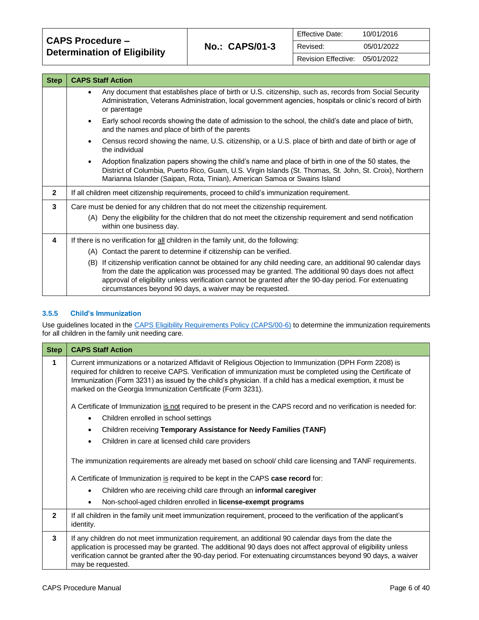| <b>CAPS Procedure -</b>             |  |
|-------------------------------------|--|
| <b>Determination of Eligibility</b> |  |

 $\mathbf{I}$ 

| <b>Step</b>    | <b>CAPS Staff Action</b>                                                                                                                                                                                                                                                                                                                                                                  |  |  |
|----------------|-------------------------------------------------------------------------------------------------------------------------------------------------------------------------------------------------------------------------------------------------------------------------------------------------------------------------------------------------------------------------------------------|--|--|
|                | Any document that establishes place of birth or U.S. citizenship, such as, records from Social Security<br>٠<br>Administration, Veterans Administration, local government agencies, hospitals or clinic's record of birth<br>or parentage                                                                                                                                                 |  |  |
|                | Early school records showing the date of admission to the school, the child's date and place of birth,<br>$\bullet$<br>and the names and place of birth of the parents                                                                                                                                                                                                                    |  |  |
|                | Census record showing the name, U.S. citizenship, or a U.S. place of birth and date of birth or age of<br>$\bullet$<br>the individual                                                                                                                                                                                                                                                     |  |  |
|                | Adoption finalization papers showing the child's name and place of birth in one of the 50 states, the<br>$\bullet$<br>District of Columbia, Puerto Rico, Guam, U.S. Virgin Islands (St. Thomas, St. John, St. Croix), Northern<br>Marianna Islander (Saipan, Rota, Tinian), American Samoa or Swains Island                                                                               |  |  |
| $\overline{2}$ | If all children meet citizenship requirements, proceed to child's immunization requirement.                                                                                                                                                                                                                                                                                               |  |  |
| 3              | Care must be denied for any children that do not meet the citizenship requirement.                                                                                                                                                                                                                                                                                                        |  |  |
|                | (A) Deny the eligibility for the children that do not meet the citizenship requirement and send notification<br>within one business day.                                                                                                                                                                                                                                                  |  |  |
| 4              | If there is no verification for all children in the family unit, do the following:                                                                                                                                                                                                                                                                                                        |  |  |
|                | (A) Contact the parent to determine if citizenship can be verified.                                                                                                                                                                                                                                                                                                                       |  |  |
|                | (B) If citizenship verification cannot be obtained for any child needing care, an additional 90 calendar days<br>from the date the application was processed may be granted. The additional 90 days does not affect<br>approval of eligibility unless verification cannot be granted after the 90-day period. For extenuating<br>circumstances beyond 90 days, a waiver may be requested. |  |  |

#### **3.5.5 Child's Immunization**

Use guidelines located in th[e CAPS Eligibility Requirements Policy \(CAPS/00-6\)](https://caps.decal.ga.gov/assets/downloads/CAPS/06-CAPS_Policy-Eligibility%20Requirements.pdf) to determine the immunization requirements for all children in the family unit needing care.

| <b>Step</b>  | <b>CAPS Staff Action</b>                                                                                                                                                                                                                                                                                                                                                                                 |
|--------------|----------------------------------------------------------------------------------------------------------------------------------------------------------------------------------------------------------------------------------------------------------------------------------------------------------------------------------------------------------------------------------------------------------|
| 1            | Current immunizations or a notarized Affidavit of Religious Objection to Immunization (DPH Form 2208) is<br>required for children to receive CAPS. Verification of immunization must be completed using the Certificate of<br>Immunization (Form 3231) as issued by the child's physician. If a child has a medical exemption, it must be<br>marked on the Georgia Immunization Certificate (Form 3231). |
|              | A Certificate of Immunization is not required to be present in the CAPS record and no verification is needed for:                                                                                                                                                                                                                                                                                        |
|              | Children enrolled in school settings<br>$\bullet$                                                                                                                                                                                                                                                                                                                                                        |
|              | Children receiving Temporary Assistance for Needy Families (TANF)<br>$\bullet$                                                                                                                                                                                                                                                                                                                           |
|              | Children in care at licensed child care providers                                                                                                                                                                                                                                                                                                                                                        |
|              | The immunization requirements are already met based on school/child care licensing and TANF requirements.                                                                                                                                                                                                                                                                                                |
|              | A Certificate of Immunization is required to be kept in the CAPS case record for:                                                                                                                                                                                                                                                                                                                        |
|              | Children who are receiving child care through an <b>informal caregiver</b>                                                                                                                                                                                                                                                                                                                               |
|              | Non-school-aged children enrolled in license-exempt programs<br>$\bullet$                                                                                                                                                                                                                                                                                                                                |
| $\mathbf{2}$ | If all children in the family unit meet immunization requirement, proceed to the verification of the applicant's<br>identity.                                                                                                                                                                                                                                                                            |
| 3            | If any children do not meet immunization requirement, an additional 90 calendar days from the date the<br>application is processed may be granted. The additional 90 days does not affect approval of eligibility unless<br>verification cannot be granted after the 90-day period. For extenuating circumstances beyond 90 days, a waiver<br>may be requested.                                          |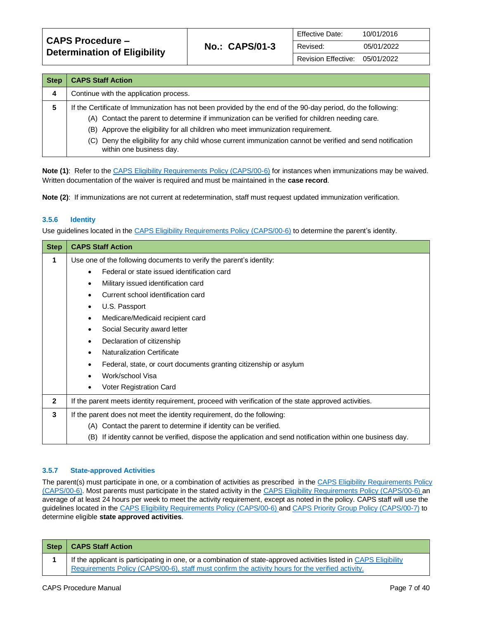| <b>CAPS Procedure –</b><br><b>Determination of Eligibility</b> |                       | <b>Effective Date:</b> | 10/01/2016 |
|----------------------------------------------------------------|-----------------------|------------------------|------------|
|                                                                | <b>No.: CAPS/01-3</b> | Revised:               | 05/01/2022 |
|                                                                |                       | Revision Effective:    | 05/01/2022 |

| <b>Step</b> | <b>CAPS Staff Action</b>                                                                                                               |  |  |
|-------------|----------------------------------------------------------------------------------------------------------------------------------------|--|--|
| 4           | Continue with the application process.                                                                                                 |  |  |
| 5           | If the Certificate of Immunization has not been provided by the end of the 90-day period, do the following:                            |  |  |
|             | (A) Contact the parent to determine if immunization can be verified for children needing care.                                         |  |  |
|             | (B) Approve the eligibility for all children who meet immunization requirement.                                                        |  |  |
|             | (C) Deny the eligibility for any child whose current immunization cannot be verified and send notification<br>within one business day. |  |  |

**Note (1)**: Refer to th[e CAPS Eligibility Requirements Policy \(CAPS/00-6\)](https://caps.decal.ga.gov/assets/downloads/CAPS/06-CAPS_Policy-Eligibility%20Requirements.pdf) for instances when immunizations may be waived. Written documentation of the waiver is required and must be maintained in the **case record**.

**Note (2)**: If immunizations are not current at redetermination, staff must request updated immunization verification.

#### **3.5.6 Identity**

Use guidelines located in th[e CAPS Eligibility Requirements Policy \(CAPS/00-6\)](https://caps.decal.ga.gov/assets/downloads/CAPS/06-CAPS_Policy-Eligibility%20Requirements.pdf) to determine the parent's identity.

| <b>Step</b>  | <b>CAPS Staff Action</b>                                                                                      |  |  |
|--------------|---------------------------------------------------------------------------------------------------------------|--|--|
| 1            | Use one of the following documents to verify the parent's identity:                                           |  |  |
|              | Federal or state issued identification card                                                                   |  |  |
|              | Military issued identification card<br>$\bullet$                                                              |  |  |
|              | Current school identification card                                                                            |  |  |
|              | U.S. Passport<br>$\bullet$                                                                                    |  |  |
|              | Medicare/Medicaid recipient card<br>$\bullet$                                                                 |  |  |
|              | Social Security award letter<br>$\bullet$                                                                     |  |  |
|              | Declaration of citizenship<br>$\bullet$                                                                       |  |  |
|              | <b>Naturalization Certificate</b>                                                                             |  |  |
|              | Federal, state, or court documents granting citizenship or asylum<br>$\bullet$                                |  |  |
|              | Work/school Visa                                                                                              |  |  |
|              | Voter Registration Card<br>٠                                                                                  |  |  |
| $\mathbf{2}$ | If the parent meets identity requirement, proceed with verification of the state approved activities.         |  |  |
| 3            | If the parent does not meet the identity requirement, do the following:                                       |  |  |
|              | (A) Contact the parent to determine if identity can be verified.                                              |  |  |
|              | If identity cannot be verified, dispose the application and send notification within one business day.<br>(B) |  |  |

#### **3.5.7 State-approved Activities**

The parent(s) must participate in one, or a combination of activities as prescribed in the CAPS Eligibility Requirements Policy [\(CAPS/00-6\).](https://caps.decal.ga.gov/assets/downloads/CAPS/06-CAPS_Policy-Eligibility%20Requirements.pdf) Most parents must participate in the stated activity in th[e CAPS Eligibility Requirements Policy \(CAPS/00-6\)](https://caps.decal.ga.gov/assets/downloads/CAPS/06-CAPS_Policy-Eligibility%20Requirements.pdf) an average of at least 24 hours per week to meet the activity requirement, except as noted in the policy. CAPS staff will use the guidelines located in the [CAPS Eligibility Requirements Policy \(CAPS/00-6\)](https://caps.decal.ga.gov/assets/downloads/CAPS/06-CAPS_Policy-Eligibility%20Requirements.pdf) an[d CAPS Priority Group Policy \(CAPS/00-7\)](https://caps.decal.ga.gov/assets/downloads/CAPS/07-CAPS_Policy-Priority%20Groups.pdf) to determine eligible **state approved activities**.

| <b>Step</b> | <b>CAPS Staff Action</b>                                                                                                                                                                                                |
|-------------|-------------------------------------------------------------------------------------------------------------------------------------------------------------------------------------------------------------------------|
|             | If the applicant is participating in one, or a combination of state-approved activities listed in CAPS Eligibility<br>Requirements Policy (CAPS/00-6), staff must confirm the activity hours for the verified activity. |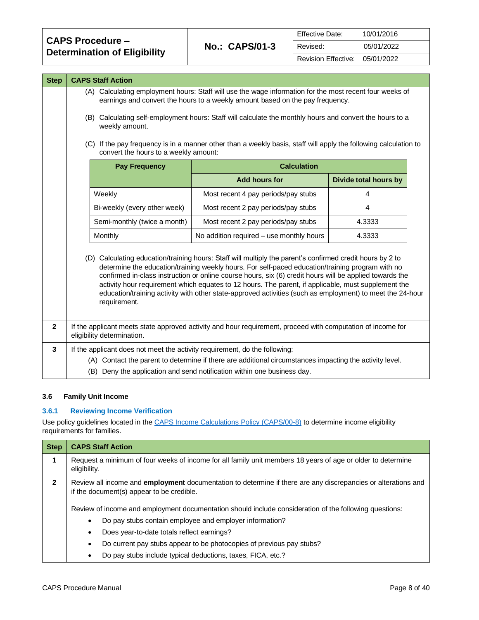| <b>CAPS Procedure –</b><br><b>Determination of Eligibility</b> | <b>No.: CAPS/01-3</b> | <b>Effective Date:</b> | 10/01/2016 |
|----------------------------------------------------------------|-----------------------|------------------------|------------|
|                                                                |                       | Revised:               | 05/01/2022 |
|                                                                |                       | Revision Effective:    | 05/01/2022 |

| <b>Step</b>  | <b>CAPS Staff Action</b>                                                                                                                                                                                                                                                                                                                                                                                                                                                                                                                                     |                                          |                              |  |
|--------------|--------------------------------------------------------------------------------------------------------------------------------------------------------------------------------------------------------------------------------------------------------------------------------------------------------------------------------------------------------------------------------------------------------------------------------------------------------------------------------------------------------------------------------------------------------------|------------------------------------------|------------------------------|--|
|              | (A) Calculating employment hours: Staff will use the wage information for the most recent four weeks of<br>earnings and convert the hours to a weekly amount based on the pay frequency.<br>(B) Calculating self-employment hours: Staff will calculate the monthly hours and convert the hours to a<br>weekly amount.<br>(C) If the pay frequency is in a manner other than a weekly basis, staff will apply the following calculation to<br>convert the hours to a weekly amount:                                                                          |                                          |                              |  |
|              | <b>Pay Frequency</b>                                                                                                                                                                                                                                                                                                                                                                                                                                                                                                                                         | <b>Calculation</b>                       |                              |  |
|              |                                                                                                                                                                                                                                                                                                                                                                                                                                                                                                                                                              | <b>Add hours for</b>                     | <b>Divide total hours by</b> |  |
|              | Weekly                                                                                                                                                                                                                                                                                                                                                                                                                                                                                                                                                       | Most recent 4 pay periods/pay stubs      | $\overline{4}$               |  |
|              | Bi-weekly (every other week)                                                                                                                                                                                                                                                                                                                                                                                                                                                                                                                                 | Most recent 2 pay periods/pay stubs      | 4                            |  |
|              | Semi-monthly (twice a month)                                                                                                                                                                                                                                                                                                                                                                                                                                                                                                                                 | Most recent 2 pay periods/pay stubs      | 4.3333                       |  |
|              | Monthly                                                                                                                                                                                                                                                                                                                                                                                                                                                                                                                                                      | No addition required - use monthly hours | 4.3333                       |  |
|              | (D) Calculating education/training hours: Staff will multiply the parent's confirmed credit hours by 2 to<br>determine the education/training weekly hours. For self-paced education/training program with no<br>confirmed in-class instruction or online course hours, six (6) credit hours will be applied towards the<br>activity hour requirement which equates to 12 hours. The parent, if applicable, must supplement the<br>education/training activity with other state-approved activities (such as employment) to meet the 24-hour<br>requirement. |                                          |                              |  |
| $\mathbf{2}$ | If the applicant meets state approved activity and hour requirement, proceed with computation of income for<br>eligibility determination.                                                                                                                                                                                                                                                                                                                                                                                                                    |                                          |                              |  |
| 3            | If the applicant does not meet the activity requirement, do the following:                                                                                                                                                                                                                                                                                                                                                                                                                                                                                   |                                          |                              |  |
|              | (A) Contact the parent to determine if there are additional circumstances impacting the activity level.                                                                                                                                                                                                                                                                                                                                                                                                                                                      |                                          |                              |  |
|              | (B) Deny the application and send notification within one business day.                                                                                                                                                                                                                                                                                                                                                                                                                                                                                      |                                          |                              |  |

## <span id="page-7-0"></span>**3.6 Family Unit Income**

## **3.6.1 Reviewing Income Verification**

Use policy guidelines located in the [CAPS Income Calculations Policy \(CAPS/00-8\)](https://caps.decal.ga.gov/assets/downloads/CAPS/08-CAPS_Policy-Income%20Calculations.pdf) to determine income eligibility requirements for families.

| <b>Step</b>  | <b>CAPS Staff Action</b>                                                                                                                                          |  |  |
|--------------|-------------------------------------------------------------------------------------------------------------------------------------------------------------------|--|--|
| 1            | Request a minimum of four weeks of income for all family unit members 18 years of age or older to determine<br>eligibility.                                       |  |  |
| $\mathbf{2}$ | Review all income and <b>employment</b> documentation to determine if there are any discrepancies or alterations and<br>if the document(s) appear to be credible. |  |  |
|              | Review of income and employment documentation should include consideration of the following questions:                                                            |  |  |
|              | Do pay stubs contain employee and employer information?<br>$\bullet$                                                                                              |  |  |
|              | Does year-to-date totals reflect earnings?<br>$\bullet$                                                                                                           |  |  |
|              | Do current pay stubs appear to be photocopies of previous pay stubs?<br>$\bullet$                                                                                 |  |  |
|              | Do pay stubs include typical deductions, taxes, FICA, etc.?<br>٠                                                                                                  |  |  |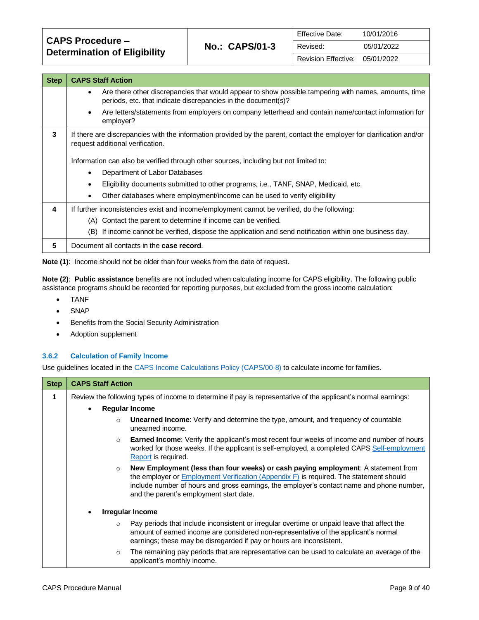| <b>CAPS Procedure -</b><br><b>Determination of Eligibility</b> | <b>No.: CAPS/01-3</b> | <b>Effective Date:</b> | 10/01/2016 |
|----------------------------------------------------------------|-----------------------|------------------------|------------|
|                                                                |                       | Revised:               | 05/01/2022 |
|                                                                |                       | Revision Effective:    | 05/01/2022 |

| <b>Step</b> | <b>CAPS Staff Action</b>                                                                                                                                                   |  |  |
|-------------|----------------------------------------------------------------------------------------------------------------------------------------------------------------------------|--|--|
|             | Are there other discrepancies that would appear to show possible tampering with names, amounts, time<br>٠<br>periods, etc. that indicate discrepancies in the document(s)? |  |  |
|             | Are letters/statements from employers on company letterhead and contain name/contact information for<br>$\bullet$<br>employer?                                             |  |  |
| 3           | If there are discrepancies with the information provided by the parent, contact the employer for clarification and/or<br>request additional verification.                  |  |  |
|             | Information can also be verified through other sources, including but not limited to:                                                                                      |  |  |
|             | Department of Labor Databases<br>٠                                                                                                                                         |  |  |
|             | Eligibility documents submitted to other programs, i.e., TANF, SNAP, Medicaid, etc.<br>$\bullet$                                                                           |  |  |
|             | Other databases where employment/income can be used to verify eligibility                                                                                                  |  |  |
| 4           | If further inconsistencies exist and income/employment cannot be verified, do the following:                                                                               |  |  |
|             | (A) Contact the parent to determine if income can be verified.                                                                                                             |  |  |
|             | (B) If income cannot be verified, dispose the application and send notification within one business day.                                                                   |  |  |
| 5           | Document all contacts in the case record.                                                                                                                                  |  |  |

**Note (1)**: Income should not be older than four weeks from the date of request.

**Note (2)**: **Public assistance** benefits are not included when calculating income for CAPS eligibility. The following public assistance programs should be recorded for reporting purposes, but excluded from the gross income calculation:

- TANF
- SNAP
- Benefits from the Social Security Administration
- Adoption supplement

#### **3.6.2 Calculation of Family Income**

Use guidelines located in th[e CAPS Income Calculations Policy \(CAPS/00-8\)](https://caps.decal.ga.gov/assets/downloads/CAPS/08-CAPS_Policy-Income%20Calculations.pdf) to calculate income for families.

| <b>Step</b> | <b>CAPS Staff Action</b>                                                                                       |                                                                                                                                                                                                                                                                                                                       |  |
|-------------|----------------------------------------------------------------------------------------------------------------|-----------------------------------------------------------------------------------------------------------------------------------------------------------------------------------------------------------------------------------------------------------------------------------------------------------------------|--|
| 1           | Review the following types of income to determine if pay is representative of the applicant's normal earnings: |                                                                                                                                                                                                                                                                                                                       |  |
|             | $\bullet$                                                                                                      | <b>Regular Income</b>                                                                                                                                                                                                                                                                                                 |  |
|             | $\circ$                                                                                                        | <b>Unearned Income:</b> Verify and determine the type, amount, and frequency of countable<br>unearned income.                                                                                                                                                                                                         |  |
|             | $\circ$                                                                                                        | <b>Earned Income:</b> Verify the applicant's most recent four weeks of income and number of hours<br>worked for those weeks. If the applicant is self-employed, a completed CAPS Self-employment<br>Report is required.                                                                                               |  |
|             | $\circ$                                                                                                        | New Employment (less than four weeks) or cash paying employment: A statement from<br>the employer or $Employment Verification (Appendix F)$ is required. The statement should<br>include number of hours and gross earnings, the employer's contact name and phone number,<br>and the parent's employment start date. |  |
|             |                                                                                                                | Irregular Income                                                                                                                                                                                                                                                                                                      |  |
|             | $\circ$                                                                                                        | Pay periods that include inconsistent or irregular overtime or unpaid leave that affect the<br>amount of earned income are considered non-representative of the applicant's normal<br>earnings; these may be disregarded if pay or hours are inconsistent.                                                            |  |
|             | $\circ$                                                                                                        | The remaining pay periods that are representative can be used to calculate an average of the<br>applicant's monthly income.                                                                                                                                                                                           |  |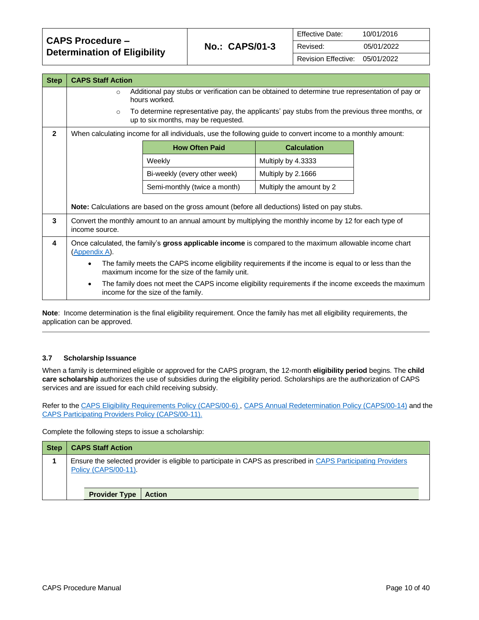| <b>CAPS Procedure –</b><br><b>Determination of Eligibility</b> | <b>No.: CAPS/01-3</b> | <b>Effective Date:</b>         | 10/01/2016 |
|----------------------------------------------------------------|-----------------------|--------------------------------|------------|
|                                                                |                       | Revised:                       | 05/01/2022 |
|                                                                |                       | Revision Effective: 05/01/2022 |            |

| <b>Step</b>  | <b>CAPS Staff Action</b>                                                                                                                                                                                                                |                                                                                                                                           |                          |  |
|--------------|-----------------------------------------------------------------------------------------------------------------------------------------------------------------------------------------------------------------------------------------|-------------------------------------------------------------------------------------------------------------------------------------------|--------------------------|--|
|              | Additional pay stubs or verification can be obtained to determine true representation of pay or<br>$\circ$<br>hours worked.<br>To determine representative pay, the applicants' pay stubs from the previous three months, or<br>$\circ$ |                                                                                                                                           |                          |  |
|              |                                                                                                                                                                                                                                         | up to six months, may be requested.                                                                                                       |                          |  |
| $\mathbf{2}$ |                                                                                                                                                                                                                                         | When calculating income for all individuals, use the following guide to convert income to a monthly amount:                               |                          |  |
|              |                                                                                                                                                                                                                                         | <b>How Often Paid</b>                                                                                                                     | <b>Calculation</b>       |  |
|              |                                                                                                                                                                                                                                         | Weekly                                                                                                                                    | Multiply by 4.3333       |  |
|              |                                                                                                                                                                                                                                         | Bi-weekly (every other week)                                                                                                              | Multiply by 2.1666       |  |
|              |                                                                                                                                                                                                                                         | Semi-monthly (twice a month)                                                                                                              | Multiply the amount by 2 |  |
|              |                                                                                                                                                                                                                                         | Note: Calculations are based on the gross amount (before all deductions) listed on pay stubs.                                             |                          |  |
| 3            | Convert the monthly amount to an annual amount by multiplying the monthly income by 12 for each type of<br>income source.                                                                                                               |                                                                                                                                           |                          |  |
| 4            | Once calculated, the family's gross applicable income is compared to the maximum allowable income chart<br>(Appendix A).                                                                                                                |                                                                                                                                           |                          |  |
|              | The family meets the CAPS income eligibility requirements if the income is equal to or less than the<br>$\bullet$<br>maximum income for the size of the family unit.                                                                    |                                                                                                                                           |                          |  |
|              | $\bullet$                                                                                                                                                                                                                               | The family does not meet the CAPS income eligibility requirements if the income exceeds the maximum<br>income for the size of the family. |                          |  |

<span id="page-9-0"></span>**Note**: Income determination is the final eligibility requirement. Once the family has met all eligibility requirements, the application can be approved.

#### **3.7 Scholarship Issuance**

When a family is determined eligible or approved for the CAPS program, the 12-month **eligibility period** begins. The **child care scholarship** authorizes the use of subsidies during the eligibility period. Scholarships are the authorization of CAPS services and are issued for each child receiving subsidy.

Refer to th[e CAPS Eligibility Requirements Policy \(CAPS/00-6\)](https://caps.decal.ga.gov/assets/downloads/CAPS/06-CAPS_Policy-Eligibility%20Requirements.pdf) [, CAPS Annual Redetermination Policy \(CAPS/00-14\)](https://caps.decal.ga.gov/assets/downloads/CAPS/14-CAPS_Policy-Annual%20Redetermination.pdf) and the [CAPS Participating Providers Policy \(CAPS/00-11\).](https://caps.decal.ga.gov/assets/downloads/CAPS/11-CAPS_Policy-Participating%20Providers.pdf)

Complete the following steps to issue a scholarship:

| <b>Step</b> | <b>CAPS Staff Action</b>                                                                                                              |
|-------------|---------------------------------------------------------------------------------------------------------------------------------------|
|             | Ensure the selected provider is eligible to participate in CAPS as prescribed in CAPS Participating Providers<br>Policy (CAPS/00-11). |
|             | <b>Provider Type</b><br><b>Action</b>                                                                                                 |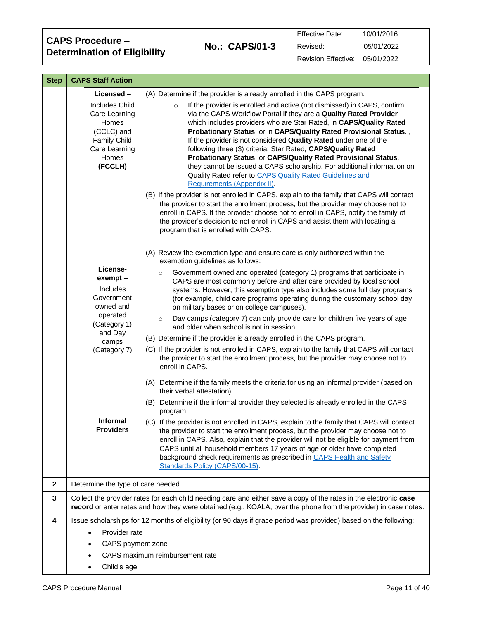| <b>CAPS Procedure -</b>             |  |
|-------------------------------------|--|
| <b>Determination of Eligibility</b> |  |

| Effective Date:                | 10/01/2016 |
|--------------------------------|------------|
| Revised:                       | 05/01/2022 |
| Revision Effective: 05/01/2022 |            |

| <b>Step</b> | <b>CAPS Staff Action</b>                                                                                                  |                                                                                                                                                                                                                                                                                                                                                                                                                                                                                                                                                                                                                                                                                                                                                                                                                                                                                                                                                                                                                                                                                |
|-------------|---------------------------------------------------------------------------------------------------------------------------|--------------------------------------------------------------------------------------------------------------------------------------------------------------------------------------------------------------------------------------------------------------------------------------------------------------------------------------------------------------------------------------------------------------------------------------------------------------------------------------------------------------------------------------------------------------------------------------------------------------------------------------------------------------------------------------------------------------------------------------------------------------------------------------------------------------------------------------------------------------------------------------------------------------------------------------------------------------------------------------------------------------------------------------------------------------------------------|
|             | Licensed-                                                                                                                 | (A) Determine if the provider is already enrolled in the CAPS program.                                                                                                                                                                                                                                                                                                                                                                                                                                                                                                                                                                                                                                                                                                                                                                                                                                                                                                                                                                                                         |
|             | <b>Includes Child</b><br>Care Learning<br>Homes<br>(CCLC) and<br><b>Family Child</b><br>Care Learning<br>Homes<br>(FCCLH) | If the provider is enrolled and active (not dismissed) in CAPS, confirm<br>$\circ$<br>via the CAPS Workflow Portal if they are a Quality Rated Provider<br>which includes providers who are Star Rated, in CAPS/Quality Rated<br>Probationary Status, or in CAPS/Quality Rated Provisional Status.,<br>If the provider is not considered Quality Rated under one of the<br>following three (3) criteria: Star Rated, CAPS/Quality Rated<br>Probationary Status, or CAPS/Quality Rated Provisional Status,<br>they cannot be issued a CAPS scholarship. For additional information on<br>Quality Rated refer to CAPS Quality Rated Guidelines and<br>Requirements (Appendix II).<br>(B) If the provider is not enrolled in CAPS, explain to the family that CAPS will contact<br>the provider to start the enrollment process, but the provider may choose not to<br>enroll in CAPS. If the provider choose not to enroll in CAPS, notify the family of<br>the provider's decision to not enroll in CAPS and assist them with locating a<br>program that is enrolled with CAPS. |
|             | License-                                                                                                                  | (A) Review the exemption type and ensure care is only authorized within the<br>exemption guidelines as follows:                                                                                                                                                                                                                                                                                                                                                                                                                                                                                                                                                                                                                                                                                                                                                                                                                                                                                                                                                                |
|             | exempt -<br>Includes<br>Government<br>owned and                                                                           | Government owned and operated (category 1) programs that participate in<br>$\circ$<br>CAPS are most commonly before and after care provided by local school<br>systems. However, this exemption type also includes some full day programs<br>(for example, child care programs operating during the customary school day<br>on military bases or on college campuses).                                                                                                                                                                                                                                                                                                                                                                                                                                                                                                                                                                                                                                                                                                         |
|             | operated<br>(Category 1)<br>and Day                                                                                       | Day camps (category 7) can only provide care for children five years of age<br>$\circ$<br>and older when school is not in session.                                                                                                                                                                                                                                                                                                                                                                                                                                                                                                                                                                                                                                                                                                                                                                                                                                                                                                                                             |
|             | camps                                                                                                                     | (B) Determine if the provider is already enrolled in the CAPS program.                                                                                                                                                                                                                                                                                                                                                                                                                                                                                                                                                                                                                                                                                                                                                                                                                                                                                                                                                                                                         |
|             | (Category 7)                                                                                                              | (C) If the provider is not enrolled in CAPS, explain to the family that CAPS will contact<br>the provider to start the enrollment process, but the provider may choose not to<br>enroll in CAPS.                                                                                                                                                                                                                                                                                                                                                                                                                                                                                                                                                                                                                                                                                                                                                                                                                                                                               |
|             |                                                                                                                           | (A) Determine if the family meets the criteria for using an informal provider (based on<br>their verbal attestation).                                                                                                                                                                                                                                                                                                                                                                                                                                                                                                                                                                                                                                                                                                                                                                                                                                                                                                                                                          |
|             |                                                                                                                           | (B) Determine if the informal provider they selected is already enrolled in the CAPS<br>program.                                                                                                                                                                                                                                                                                                                                                                                                                                                                                                                                                                                                                                                                                                                                                                                                                                                                                                                                                                               |
|             | <b>Informal</b><br><b>Providers</b>                                                                                       | (C) If the provider is not enrolled in CAPS, explain to the family that CAPS will contact<br>the provider to start the enrollment process, but the provider may choose not to<br>enroll in CAPS. Also, explain that the provider will not be eligible for payment from<br>CAPS until all household members 17 years of age or older have completed<br>background check requirements as prescribed in CAPS Health and Safety<br>Standards Policy (CAPS/00-15).                                                                                                                                                                                                                                                                                                                                                                                                                                                                                                                                                                                                                  |
| $\mathbf 2$ | Determine the type of care needed.                                                                                        |                                                                                                                                                                                                                                                                                                                                                                                                                                                                                                                                                                                                                                                                                                                                                                                                                                                                                                                                                                                                                                                                                |
| 3           |                                                                                                                           | Collect the provider rates for each child needing care and either save a copy of the rates in the electronic case<br>record or enter rates and how they were obtained (e.g., KOALA, over the phone from the provider) in case notes.                                                                                                                                                                                                                                                                                                                                                                                                                                                                                                                                                                                                                                                                                                                                                                                                                                           |
| 4           |                                                                                                                           | Issue scholarships for 12 months of eligibility (or 90 days if grace period was provided) based on the following:                                                                                                                                                                                                                                                                                                                                                                                                                                                                                                                                                                                                                                                                                                                                                                                                                                                                                                                                                              |
|             | Provider rate<br>$\bullet$                                                                                                |                                                                                                                                                                                                                                                                                                                                                                                                                                                                                                                                                                                                                                                                                                                                                                                                                                                                                                                                                                                                                                                                                |
|             | CAPS payment zone<br>٠                                                                                                    |                                                                                                                                                                                                                                                                                                                                                                                                                                                                                                                                                                                                                                                                                                                                                                                                                                                                                                                                                                                                                                                                                |
|             |                                                                                                                           | CAPS maximum reimbursement rate                                                                                                                                                                                                                                                                                                                                                                                                                                                                                                                                                                                                                                                                                                                                                                                                                                                                                                                                                                                                                                                |
|             | Child's age<br>$\bullet$                                                                                                  |                                                                                                                                                                                                                                                                                                                                                                                                                                                                                                                                                                                                                                                                                                                                                                                                                                                                                                                                                                                                                                                                                |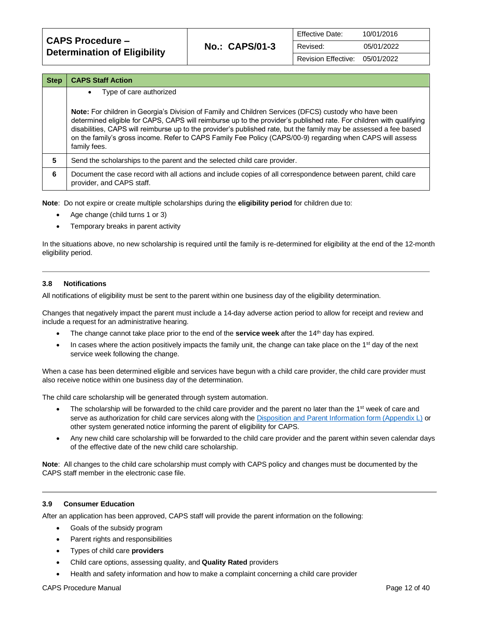| <b>CAPS Procedure –</b><br><b>Determination of Eligibility</b> | <b>No.: CAPS/01-3</b> | <b>Effective Date:</b> | 10/01/2016 |
|----------------------------------------------------------------|-----------------------|------------------------|------------|
|                                                                |                       | Revised:               | 05/01/2022 |
|                                                                |                       | Revision Effective:    | 05/01/2022 |

| <b>Step</b> | <b>CAPS Staff Action</b>                                                                                                                                                                                                                                                                                                                                                                                                                                                              |
|-------------|---------------------------------------------------------------------------------------------------------------------------------------------------------------------------------------------------------------------------------------------------------------------------------------------------------------------------------------------------------------------------------------------------------------------------------------------------------------------------------------|
|             | Type of care authorized<br>$\bullet$                                                                                                                                                                                                                                                                                                                                                                                                                                                  |
|             | <b>Note:</b> For children in Georgia's Division of Family and Children Services (DFCS) custody who have been<br>determined eligible for CAPS, CAPS will reimburse up to the provider's published rate. For children with qualifying<br>disabilities, CAPS will reimburse up to the provider's published rate, but the family may be assessed a fee based<br>on the family's gross income. Refer to CAPS Family Fee Policy (CAPS/00-9) regarding when CAPS will assess<br>family fees. |
| 5           | Send the scholarships to the parent and the selected child care provider.                                                                                                                                                                                                                                                                                                                                                                                                             |
| 6           | Document the case record with all actions and include copies of all correspondence between parent, child care<br>provider, and CAPS staff.                                                                                                                                                                                                                                                                                                                                            |

**Note**: Do not expire or create multiple scholarships during the **eligibility period** for children due to:

- Age change (child turns 1 or 3)
- Temporary breaks in parent activity

In the situations above, no new scholarship is required until the family is re-determined for eligibility at the end of the 12-month eligibility period.

#### <span id="page-11-0"></span>**3.8 Notifications**

All notifications of eligibility must be sent to the parent within one business day of the eligibility determination.

Changes that negatively impact the parent must include a 14-day adverse action period to allow for receipt and review and include a request for an administrative hearing.

- The change cannot take place prior to the end of the **service week** after the 14<sup>th</sup> day has expired.
- In cases where the action positively impacts the family unit, the change can take place on the  $1<sup>st</sup>$  day of the next service week following the change.

When a case has been determined eligible and services have begun with a child care provider, the child care provider must also receive notice within one business day of the determination.

The child care scholarship will be generated through system automation.

- The scholarship will be forwarded to the child care provider and the parent no later than the 1<sup>st</sup> week of care and serve as authorization for child care services along with the [Disposition and Parent Information form \(Appendix L\)](https://caps.decal.ga.gov/assets/downloads/CAPS/AppendixL-Form%2062_Disposition_and_Parent%20Information.pdf) or other system generated notice informing the parent of eligibility for CAPS.
- Any new child care scholarship will be forwarded to the child care provider and the parent within seven calendar days of the effective date of the new child care scholarship.

**Note**: All changes to the child care scholarship must comply with CAPS policy and changes must be documented by the CAPS staff member in the electronic case file.

#### <span id="page-11-1"></span>**3.9 Consumer Education**

After an application has been approved, CAPS staff will provide the parent information on the following:

- Goals of the subsidy program
- Parent rights and responsibilities
- Types of child care **providers**
- Child care options, assessing quality, and **Quality Rated** providers
- Health and safety information and how to make a complaint concerning a child care provider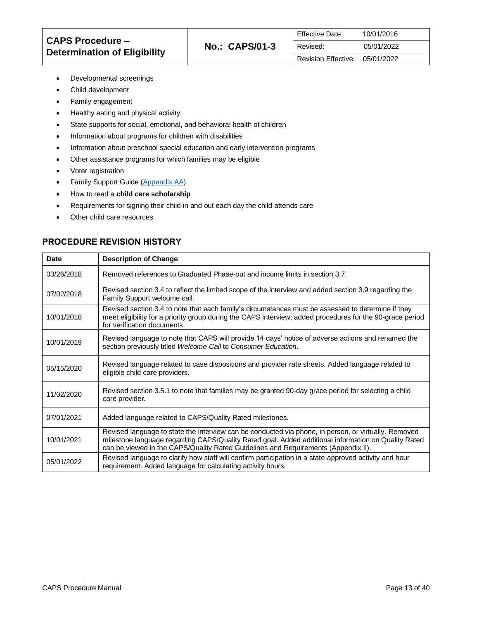- Developmental screenings
- Child development
- Family engagement
- Healthy eating and physical activity
- State supports for social, emotional, and behavioral health of children
- Information about programs for children with disabilities
- Information about preschool special education and early intervention programs
- Other assistance programs for which families may be eligible
- Voter registration
- Family Support Guide [\(Appendix AA\)](https://caps.decal.ga.gov/assets/downloads/CAPS/Appendix_AA-CAPS%20Family%20Support%20Guide.pdf)
- How to read a **child care scholarship**
- Requirements for signing their child in and out each day the child attends care
- Other child care resources

## **PROCEDURE REVISION HISTORY**

| <b>Date</b> | <b>Description of Change</b>                                                                                                                                                                                                                                                                      |
|-------------|---------------------------------------------------------------------------------------------------------------------------------------------------------------------------------------------------------------------------------------------------------------------------------------------------|
| 03/26/2018  | Removed references to Graduated Phase-out and income limits in section 3.7.                                                                                                                                                                                                                       |
| 07/02/2018  | Revised section 3.4 to reflect the limited scope of the interview and added section 3.9 regarding the<br>Family Support welcome call.                                                                                                                                                             |
| 10/01/2018  | Revised section 3.4 to note that each family's circumstances must be assessed to determine if they<br>meet eligibility for a priority group during the CAPS interview; added procedures for the 90-grace period<br>for verification documents.                                                    |
| 10/01/2019  | Revised language to note that CAPS will provide 14 days' notice of adverse actions and renamed the<br>section previously titled Welcome Call to Consumer Education.                                                                                                                               |
| 05/15/2020  | Revised language related to case dispositions and provider rate sheets. Added language related to<br>eligible child care providers.                                                                                                                                                               |
| 11/02/2020  | Revised section 3.5.1 to note that families may be granted 90-day grace period for selecting a child<br>care provider.                                                                                                                                                                            |
| 07/01/2021  | Added language related to CAPS/Quality Rated milestones.                                                                                                                                                                                                                                          |
| 10/01/2021  | Revised language to state the interview can be conducted via phone, in person, or virtually. Removed<br>milestone language regarding CAPS/Quality Rated goal. Added additional information on Quality Rated<br>can be viewed in the CAPS/Quality Rated Guidelines and Requirements (Appendix II). |
| 05/01/2022  | Revised language to clarify how staff will confirm participation in a state-approved activity and hour<br>requirement. Added language for calculating activity hours.                                                                                                                             |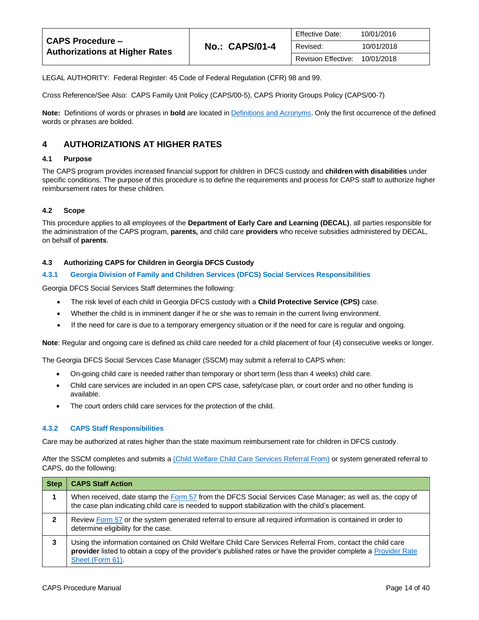| <b>CAPS Procedure -</b><br><b>Authorizations at Higher Rates</b> | <b>No.: CAPS/01-4</b> | <b>Effective Date:</b>     | 10/01/2016 |
|------------------------------------------------------------------|-----------------------|----------------------------|------------|
|                                                                  |                       | Revised:                   | 10/01/2018 |
|                                                                  |                       | <b>Revision Effective:</b> | 10/01/2018 |

LEGAL AUTHORITY: Federal Register: 45 Code of Federal Regulation (CFR) 98 and 99.

Cross Reference/See Also: CAPS Family Unit Policy (CAPS/00-5), CAPS Priority Groups Policy (CAPS/00-7)

**Note:** Definitions of words or phrases in **bold** are located i[n Definitions and Acronyms.](https://caps.decal.ga.gov/assets/downloads/CAPS/02-CAPS_Policy-Definitions%20and%20Acronyms.pdf) Only the first occurrence of the defined words or phrases are bolded.

## <span id="page-13-0"></span>**4 AUTHORIZATIONS AT HIGHER RATES**

#### <span id="page-13-1"></span>**4.1 Purpose**

The CAPS program provides increased financial support for children in DFCS custody and **children with disabilities** under specific conditions. The purpose of this procedure is to define the requirements and process for CAPS staff to authorize higher reimbursement rates for these children.

#### <span id="page-13-2"></span>**4.2 Scope**

This procedure applies to all employees of the **Department of Early Care and Learning (DECAL)**, all parties responsible for the administration of the CAPS program, **parents,** and child care **providers** who receive subsidies administered by DECAL, on behalf of **parents**.

#### <span id="page-13-3"></span>**4.3 Authorizing CAPS for Children in Georgia DFCS Custody**

#### **4.3.1 Georgia Division of Family and Children Services (DFCS) Social Services Responsibilities**

Georgia DFCS Social Services Staff determines the following:

- The risk level of each child in Georgia DFCS custody with a **Child Protective Service (CPS)** case.
- Whether the child is in imminent danger if he or she was to remain in the current living environment.
- If the need for care is due to a temporary emergency situation or if the need for care is regular and ongoing.

**Note**: Regular and ongoing care is defined as child care needed for a child placement of four (4) consecutive weeks or longer.

The Georgia DFCS Social Services Case Manager (SSCM) may submit a referral to CAPS when:

- On-going child care is needed rather than temporary or short term (less than 4 weeks) child care.
- Child care services are included in an open CPS case, safety/case plan, or court order and no other funding is available.
- The court orders child care services for the protection of the child.

#### **4.3.2 CAPS Staff Responsibilities**

Care may be authorized at rates higher than the state maximum reimbursement rate for children in DFCS custody.

After the SSCM completes and submits a [\(Child Welfare Child Care Services Referral From\)](https://caps.decal.ga.gov/assets/downloads/CAPS/AppendixH-Form%2057%20Social%20Services%20DFCS%20Custody%20Referral.pdf) or system generated referral to CAPS, do the following:

| <b>Step</b>      | <b>CAPS Staff Action</b>                                                                                                                                                                                                                           |
|------------------|----------------------------------------------------------------------------------------------------------------------------------------------------------------------------------------------------------------------------------------------------|
|                  | When received, date stamp the Form 57 from the DFCS Social Services Case Manager; as well as, the copy of<br>the case plan indicating child care is needed to support stabilization with the child's placement.                                    |
| $\boldsymbol{c}$ | Review Form 57 or the system generated referral to ensure all required information is contained in order to<br>determine eligibility for the case.                                                                                                 |
| 3                | Using the information contained on Child Welfare Child Care Services Referral From, contact the child care<br>provider listed to obtain a copy of the provider's published rates or have the provider complete a Provider Rate<br>Sheet (Form 61). |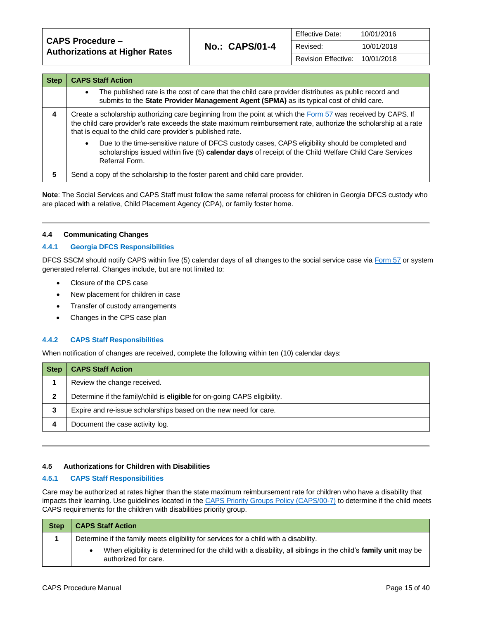**CAPS Procedure – Authorizations at Higher Rates No.: CAPS/01-4**

| <b>Step</b> | <b>CAPS Staff Action</b>                                                                                                                                                                                                                                                                       |  |  |
|-------------|------------------------------------------------------------------------------------------------------------------------------------------------------------------------------------------------------------------------------------------------------------------------------------------------|--|--|
|             | The published rate is the cost of care that the child care provider distributes as public record and<br>$\bullet$<br>submits to the State Provider Management Agent (SPMA) as its typical cost of child care.                                                                                  |  |  |
| 4           | Create a scholarship authorizing care beginning from the point at which the Form 57 was received by CAPS. If<br>the child care provider's rate exceeds the state maximum reimbursement rate, authorize the scholarship at a rate<br>that is equal to the child care provider's published rate. |  |  |
|             | Due to the time-sensitive nature of DFCS custody cases, CAPS eligibility should be completed and<br>$\bullet$<br>scholarships issued within five (5) calendar days of receipt of the Child Welfare Child Care Services<br>Referral Form.                                                       |  |  |
| 5           | Send a copy of the scholarship to the foster parent and child care provider.                                                                                                                                                                                                                   |  |  |

**Note**: The Social Services and CAPS Staff must follow the same referral process for children in Georgia DFCS custody who are placed with a relative, Child Placement Agency (CPA), or family foster home.

#### <span id="page-14-0"></span>**4.4 Communicating Changes**

#### **4.4.1 Georgia DFCS Responsibilities**

DFCS SSCM should notify CAPS within five (5) calendar days of all changes to the social service case vi[a Form 57](https://caps.decal.ga.gov/assets/downloads/CAPS/AppendixH-Form%2057%20Social%20Services%20DFCS%20Custody%20Referral.pdf) or system generated referral. Changes include, but are not limited to:

- Closure of the CPS case
- New placement for children in case
- Transfer of custody arrangements
- Changes in the CPS case plan

#### **4.4.2 CAPS Staff Responsibilities**

When notification of changes are received, complete the following within ten (10) calendar days:

| Step | <b>CAPS Staff Action</b>                                                 |
|------|--------------------------------------------------------------------------|
|      | Review the change received.                                              |
|      | Determine if the family/child is eligible for on-going CAPS eligibility. |
| 3    | Expire and re-issue scholarships based on the new need for care.         |
| 4    | Document the case activity log.                                          |

#### <span id="page-14-1"></span>**4.5 Authorizations for Children with Disabilities**

#### **4.5.1 CAPS Staff Responsibilities**

Care may be authorized at rates higher than the state maximum reimbursement rate for children who have a disability that impacts their learning. Use guidelines located in the [CAPS Priority Groups Policy \(CAPS/00-7\)](https://caps.decal.ga.gov/assets/downloads/CAPS/07-CAPS_Policy-Priority%20Groups.pdf) to determine if the child meets CAPS requirements for the children with disabilities priority group.

| <b>Step</b> | <b>CAPS Staff Action</b>                                                                                                               |
|-------------|----------------------------------------------------------------------------------------------------------------------------------------|
|             | Determine if the family meets eligibility for services for a child with a disability.                                                  |
|             | When eligibility is determined for the child with a disability, all siblings in the child's family unit may be<br>authorized for care. |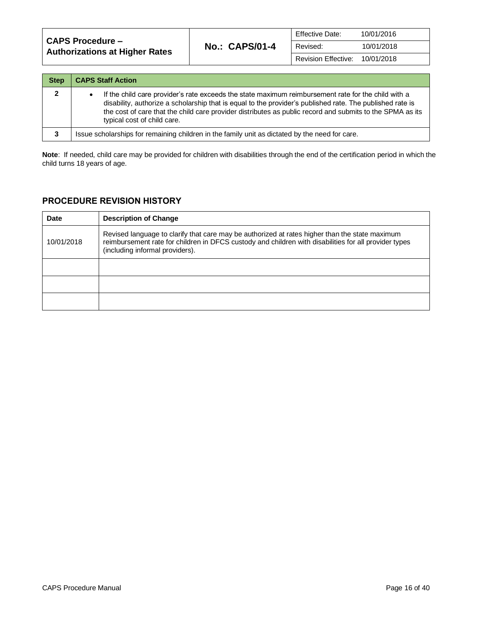| <b>CAPS Procedure –</b><br><b>Authorizations at Higher Rates</b> |                       | <b>Effective Date:</b> | 10/01/2016 |
|------------------------------------------------------------------|-----------------------|------------------------|------------|
|                                                                  | <b>No.: CAPS/01-4</b> | Revised:               | 10/01/2018 |
|                                                                  |                       | Revision Effective:    | 10/01/2018 |

| <b>Step</b>  | <b>CAPS Staff Action</b>                                                                                                                                                                                                                                                                                                                                     |
|--------------|--------------------------------------------------------------------------------------------------------------------------------------------------------------------------------------------------------------------------------------------------------------------------------------------------------------------------------------------------------------|
| $\mathbf{2}$ | If the child care provider's rate exceeds the state maximum reimbursement rate for the child with a<br>disability, authorize a scholarship that is equal to the provider's published rate. The published rate is<br>the cost of care that the child care provider distributes as public record and submits to the SPMA as its<br>typical cost of child care. |
| 3            | Issue scholarships for remaining children in the family unit as dictated by the need for care.                                                                                                                                                                                                                                                               |

**Note**: If needed, child care may be provided for children with disabilities through the end of the certification period in which the child turns 18 years of age.

## **PROCEDURE REVISION HISTORY**

| <b>Date</b> | <b>Description of Change</b>                                                                                                                                                                                                               |
|-------------|--------------------------------------------------------------------------------------------------------------------------------------------------------------------------------------------------------------------------------------------|
| 10/01/2018  | Revised language to clarify that care may be authorized at rates higher than the state maximum<br>reimbursement rate for children in DFCS custody and children with disabilities for all provider types<br>(including informal providers). |
|             |                                                                                                                                                                                                                                            |
|             |                                                                                                                                                                                                                                            |
|             |                                                                                                                                                                                                                                            |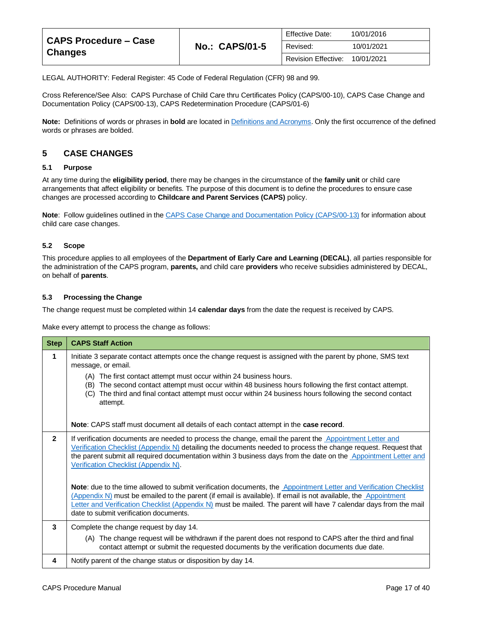| <b>CAPS Procedure - Case</b><br><b>Changes</b> | <b>Effective Date:</b><br><b>No.: CAPS/01-5</b><br>Revised: |                     | 10/01/2016 |
|------------------------------------------------|-------------------------------------------------------------|---------------------|------------|
|                                                |                                                             |                     | 10/01/2021 |
|                                                |                                                             | Revision Effective: | 10/01/2021 |

LEGAL AUTHORITY: Federal Register: 45 Code of Federal Regulation (CFR) 98 and 99.

Cross Reference/See Also: CAPS Purchase of Child Care thru Certificates Policy (CAPS/00-10), CAPS Case Change and Documentation Policy (CAPS/00-13), CAPS Redetermination Procedure (CAPS/01-6)

**Note:** Definitions of words or phrases in **bold** are located i[n Definitions and Acronyms.](https://caps.decal.ga.gov/assets/downloads/CAPS/02-CAPS_Policy-Definitions%20and%20Acronyms.pdf) Only the first occurrence of the defined words or phrases are bolded.

## <span id="page-16-0"></span>**5 CASE CHANGES**

#### <span id="page-16-1"></span>**5.1 Purpose**

At any time during the **eligibility period**, there may be changes in the circumstance of the **family unit** or child care arrangements that affect eligibility or benefits. The purpose of this document is to define the procedures to ensure case changes are processed according to **Childcare and Parent Services (CAPS)** policy.

**Note**: Follow guidelines outlined in th[e CAPS Case Change and Documentation Policy \(CAPS/00-13\)](https://caps.decal.ga.gov/assets/downloads/CAPS/13-CAPS_Policy-Case%20Changes%20and%20Documentation.pdf) for information about child care case changes.

#### <span id="page-16-2"></span>**5.2 Scope**

This procedure applies to all employees of the **Department of Early Care and Learning (DECAL)**, all parties responsible for the administration of the CAPS program, **parents,** and child care **providers** who receive subsidies administered by DECAL, on behalf of **parents**.

#### <span id="page-16-3"></span>**5.3 Processing the Change**

The change request must be completed within 14 **calendar days** from the date the request is received by CAPS.

Make every attempt to process the change as follows:

| <b>Step</b>  | <b>CAPS Staff Action</b>                                                                                                                                                                                                                                                                                                                                                                           |
|--------------|----------------------------------------------------------------------------------------------------------------------------------------------------------------------------------------------------------------------------------------------------------------------------------------------------------------------------------------------------------------------------------------------------|
| 1            | Initiate 3 separate contact attempts once the change request is assigned with the parent by phone, SMS text<br>message, or email.                                                                                                                                                                                                                                                                  |
|              | (A) The first contact attempt must occur within 24 business hours.<br>The second contact attempt must occur within 48 business hours following the first contact attempt.<br>(B)<br>The third and final contact attempt must occur within 24 business hours following the second contact<br>(C)<br>attempt.                                                                                        |
|              | Note: CAPS staff must document all details of each contact attempt in the case record.                                                                                                                                                                                                                                                                                                             |
| $\mathbf{2}$ | If verification documents are needed to process the change, email the parent the Appointment Letter and<br>Verification Checklist (Appendix N) detailing the documents needed to process the change request. Request that<br>the parent submit all required documentation within 3 business days from the date on the Appointment Letter and<br>Verification Checklist (Appendix N).               |
|              | Note: due to the time allowed to submit verification documents, the Appointment Letter and Verification Checklist<br>(Appendix N) must be emailed to the parent (if email is available). If email is not available, the Appointment<br>Letter and Verification Checklist (Appendix N) must be mailed. The parent will have 7 calendar days from the mail<br>date to submit verification documents. |
| 3            | Complete the change request by day 14.                                                                                                                                                                                                                                                                                                                                                             |
|              | (A) The change request will be withdrawn if the parent does not respond to CAPS after the third and final<br>contact attempt or submit the requested documents by the verification documents due date.                                                                                                                                                                                             |
| 4            | Notify parent of the change status or disposition by day 14.                                                                                                                                                                                                                                                                                                                                       |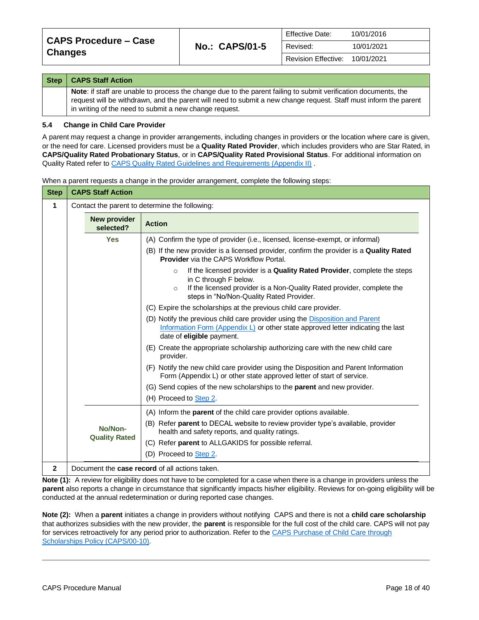| <b>Step</b> | <b>CAPS Staff Action</b>                                                                                                                                                                                                                                                                      |
|-------------|-----------------------------------------------------------------------------------------------------------------------------------------------------------------------------------------------------------------------------------------------------------------------------------------------|
|             | Note: if staff are unable to process the change due to the parent failing to submit verification documents, the<br>request will be withdrawn, and the parent will need to submit a new change request. Staff must inform the parent<br>in writing of the need to submit a new change request. |

#### <span id="page-17-0"></span>**5.4 Change in Child Care Provider**

A parent may request a change in provider arrangements, including changes in providers or the location where care is given, or the need for care. Licensed providers must be a **Quality Rated Provider**, which includes providers who are Star Rated, in **CAPS/Quality Rated Probationary Status**, or in **CAPS/Quality Rated Provisional Status**. For additional information on Quality Rated refer to [CAPS Quality Rated Guidelines and Requirements \(Appendix II\)](https://caps.decal.ga.gov/assets/downloads/CAPS/Appendix_II-CAPS%20Quality%20Rated%20Guidelines%20and%20Requirements.pdf).

| <b>Step</b>                                                         | <b>CAPS Staff Action</b>                          |                                                                                                                                                                                                                                                |  |  |  |
|---------------------------------------------------------------------|---------------------------------------------------|------------------------------------------------------------------------------------------------------------------------------------------------------------------------------------------------------------------------------------------------|--|--|--|
| $\mathbf 1$                                                         |                                                   | Contact the parent to determine the following:                                                                                                                                                                                                 |  |  |  |
|                                                                     | <b>New provider</b><br><b>Action</b><br>selected? |                                                                                                                                                                                                                                                |  |  |  |
|                                                                     | <b>Yes</b>                                        | (A) Confirm the type of provider (i.e., licensed, license-exempt, or informal)                                                                                                                                                                 |  |  |  |
|                                                                     |                                                   | (B) If the new provider is a licensed provider, confirm the provider is a Quality Rated<br><b>Provider</b> via the CAPS Workflow Portal.                                                                                                       |  |  |  |
|                                                                     |                                                   | If the licensed provider is a Quality Rated Provider, complete the steps<br>$\Omega$<br>in C through F below.<br>If the licensed provider is a Non-Quality Rated provider, complete the<br>$\circ$<br>steps in "No/Non-Quality Rated Provider. |  |  |  |
|                                                                     |                                                   | (C) Expire the scholarships at the previous child care provider.                                                                                                                                                                               |  |  |  |
|                                                                     |                                                   | (D) Notify the previous child care provider using the Disposition and Parent<br>Information Form (Appendix L) or other state approved letter indicating the last<br>date of <b>eligible</b> payment.                                           |  |  |  |
|                                                                     |                                                   | (E) Create the appropriate scholarship authorizing care with the new child care<br>provider.                                                                                                                                                   |  |  |  |
|                                                                     |                                                   | (F) Notify the new child care provider using the Disposition and Parent Information<br>Form (Appendix L) or other state approved letter of start of service.                                                                                   |  |  |  |
|                                                                     |                                                   | (G) Send copies of the new scholarships to the <b>parent</b> and new provider.<br>(H) Proceed to Step 2.                                                                                                                                       |  |  |  |
| (A) Inform the parent of the child care provider options available. |                                                   |                                                                                                                                                                                                                                                |  |  |  |
|                                                                     | No/Non-<br><b>Quality Rated</b>                   | (B) Refer parent to DECAL website to review provider type's available, provider<br>health and safety reports, and quality ratings.                                                                                                             |  |  |  |
|                                                                     |                                                   | (C) Refer parent to ALLGAKIDS for possible referral.                                                                                                                                                                                           |  |  |  |
|                                                                     |                                                   | (D) Proceed to Step 2.                                                                                                                                                                                                                         |  |  |  |
| 2                                                                   |                                                   | Document the case record of all actions taken.                                                                                                                                                                                                 |  |  |  |

When a parent requests a change in the provider arrangement, complete the following steps:

<span id="page-17-1"></span>**Note (1):** A review for eligibility does not have to be completed for a case when there is a change in providers unless the **parent** also reports a change in circumstance that significantly impacts his/her eligibility. Reviews for on-going eligibility will be conducted at the annual redetermination or during reported case changes.

**Note (2):** When a **parent** initiates a change in providers without notifying CAPS and there is not a **child care scholarship** that authorizes subsidies with the new provider, the **parent** is responsible for the full cost of the child care. CAPS will not pay for services retroactively for any period prior to authorization. Refer to th[e CAPS Purchase of Child Care through](https://caps.decal.ga.gov/assets/downloads/CAPS/10-CAPS_Policy-Purchase%20of%20Child%20Care%20through%20Scholarships.pdf)  Scholarships [Policy \(CAPS/00-10\).](https://caps.decal.ga.gov/assets/downloads/CAPS/10-CAPS_Policy-Purchase%20of%20Child%20Care%20through%20Scholarships.pdf)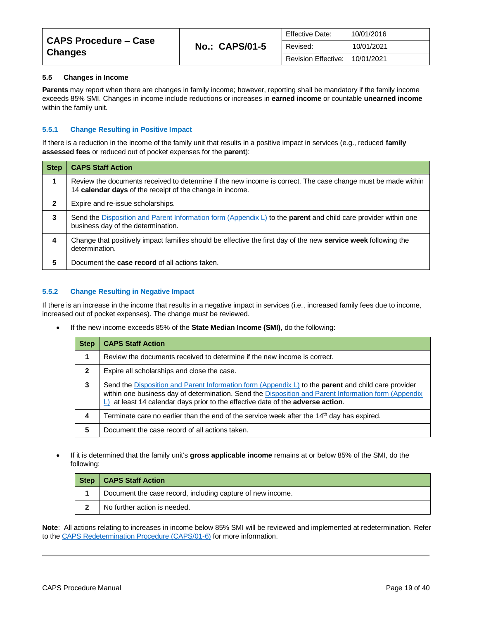| CAPS Procedure – Case<br>  Changes |                       | <b>Effective Date:</b>     | 10/01/2016 |
|------------------------------------|-----------------------|----------------------------|------------|
|                                    | <b>No.: CAPS/01-5</b> | Revised:                   | 10/01/2021 |
|                                    |                       | <b>Revision Effective:</b> | 10/01/2021 |

#### <span id="page-18-0"></span>**5.5 Changes in Income**

**Parents** may report when there are changes in family income; however, reporting shall be mandatory if the family income exceeds 85% SMI. Changes in income include reductions or increases in **earned income** or countable **unearned income** within the family unit.

#### **5.5.1 Change Resulting in Positive Impact**

If there is a reduction in the income of the family unit that results in a positive impact in services (e.g., reduced **family assessed fees** or reduced out of pocket expenses for the **parent**):

| <b>Step</b>  | <b>CAPS Staff Action</b>                                                                                                                                                 |
|--------------|--------------------------------------------------------------------------------------------------------------------------------------------------------------------------|
| 1            | Review the documents received to determine if the new income is correct. The case change must be made within<br>14 calendar days of the receipt of the change in income. |
| $\mathbf{2}$ | Expire and re-issue scholarships.                                                                                                                                        |
| 3            | Send the Disposition and Parent Information form (Appendix L) to the <b>parent</b> and child care provider within one<br>business day of the determination.              |
| 4            | Change that positively impact families should be effective the first day of the new <b>service week</b> following the<br>determination.                                  |
| 5            | Document the <b>case record</b> of all actions taken.                                                                                                                    |

#### **5.5.2 Change Resulting in Negative Impact**

If there is an increase in the income that results in a negative impact in services (i.e., increased family fees due to income, increased out of pocket expenses). The change must be reviewed.

• If the new income exceeds 85% of the **State Median Income (SMI)**, do the following:

| <b>Step</b>  | <b>CAPS Staff Action</b>                                                                                                                                                                                                                                                                                             |
|--------------|----------------------------------------------------------------------------------------------------------------------------------------------------------------------------------------------------------------------------------------------------------------------------------------------------------------------|
|              | Review the documents received to determine if the new income is correct.                                                                                                                                                                                                                                             |
| $\mathbf{2}$ | Expire all scholarships and close the case.                                                                                                                                                                                                                                                                          |
| 3            | Send the Disposition and Parent Information form (Appendix $L$ ) to the <b>parent</b> and child care provider<br>within one business day of determination. Send the Disposition and Parent Information form (Appendix<br>$\Box$ at least 14 calendar days prior to the effective date of the <b>adverse action</b> . |
| 4            | Terminate care no earlier than the end of the service week after the 14 <sup>th</sup> day has expired.                                                                                                                                                                                                               |
| 5            | Document the case record of all actions taken.                                                                                                                                                                                                                                                                       |

• If it is determined that the family unit's **gross applicable income** remains at or below 85% of the SMI, do the following:

| Step | <b>CAPS Staff Action</b>                                   |
|------|------------------------------------------------------------|
|      | Document the case record, including capture of new income. |
|      | No further action is needed.                               |

**Note**: All actions relating to increases in income below 85% SMI will be reviewed and implemented at redetermination. Refer to the [CAPS Redetermination Procedure \(CAPS/01-6\)](https://caps.decal.ga.gov/assets/downloads/CAPS/06-CAPS_Procedures-Redetermination.pdf) for more information.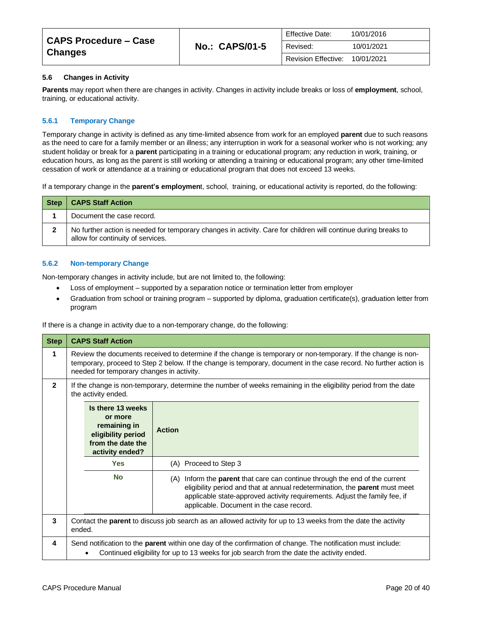| CAPS Procedure – Case<br><b>Changes</b> | <b>Effective Date:</b><br><b>No.: CAPS/01-5</b><br>Revised: | 10/01/2016                 |            |
|-----------------------------------------|-------------------------------------------------------------|----------------------------|------------|
|                                         |                                                             |                            | 10/01/2021 |
|                                         |                                                             | <b>Revision Effective:</b> | 10/01/2021 |

#### <span id="page-19-0"></span>**5.6 Changes in Activity**

**Parents** may report when there are changes in activity. Changes in activity include breaks or loss of **employment**, school, training, or educational activity.

#### **5.6.1 Temporary Change**

Temporary change in activity is defined as any time-limited absence from work for an employed **parent** due to such reasons as the need to care for a family member or an illness; any interruption in work for a seasonal worker who is not working; any student holiday or break for a **parent** participating in a training or educational program; any reduction in work, training, or education hours, as long as the parent is still working or attending a training or educational program; any other time-limited cessation of work or attendance at a training or educational program that does not exceed 13 weeks.

If a temporary change in the **parent's employmen**t, school, training, or educational activity is reported, do the following:

| <b>Step</b> | <b>CAPS Staff Action</b>                                                                                                                             |
|-------------|------------------------------------------------------------------------------------------------------------------------------------------------------|
|             | Document the case record.                                                                                                                            |
|             | No further action is needed for temporary changes in activity. Care for children will continue during breaks to<br>allow for continuity of services. |

#### **5.6.2 Non-temporary Change**

Non-temporary changes in activity include, but are not limited to, the following:

- Loss of employment supported by a separation notice or termination letter from employer
- Graduation from school or training program supported by diploma, graduation certificate(s), graduation letter from program

If there is a change in activity due to a non-temporary change, do the following:

| <b>Step</b>    |        | <b>CAPS Staff Action</b>                                                                                   |                                                                                                                                                                                                                                                                                                |
|----------------|--------|------------------------------------------------------------------------------------------------------------|------------------------------------------------------------------------------------------------------------------------------------------------------------------------------------------------------------------------------------------------------------------------------------------------|
| 1              |        | needed for temporary changes in activity.                                                                  | Review the documents received to determine if the change is temporary or non-temporary. If the change is non-<br>temporary, proceed to Step 2 below. If the change is temporary, document in the case record. No further action is                                                             |
| $\overline{2}$ |        | the activity ended.                                                                                        | If the change is non-temporary, determine the number of weeks remaining in the eligibility period from the date                                                                                                                                                                                |
|                |        | Is there 13 weeks<br>or more<br>remaining in<br>eligibility period<br>from the date the<br>activity ended? | <b>Action</b>                                                                                                                                                                                                                                                                                  |
|                |        | <b>Yes</b>                                                                                                 | (A) Proceed to Step 3                                                                                                                                                                                                                                                                          |
|                |        | <b>No</b>                                                                                                  | Inform the <b>parent</b> that care can continue through the end of the current<br>(A)<br>eligibility period and that at annual redetermination, the parent must meet<br>applicable state-approved activity requirements. Adjust the family fee, if<br>applicable. Document in the case record. |
| 3              | ended. |                                                                                                            | Contact the parent to discuss job search as an allowed activity for up to 13 weeks from the date the activity                                                                                                                                                                                  |
| 4              |        |                                                                                                            | Send notification to the <b>parent</b> within one day of the confirmation of change. The notification must include:<br>Continued eligibility for up to 13 weeks for job search from the date the activity ended.                                                                               |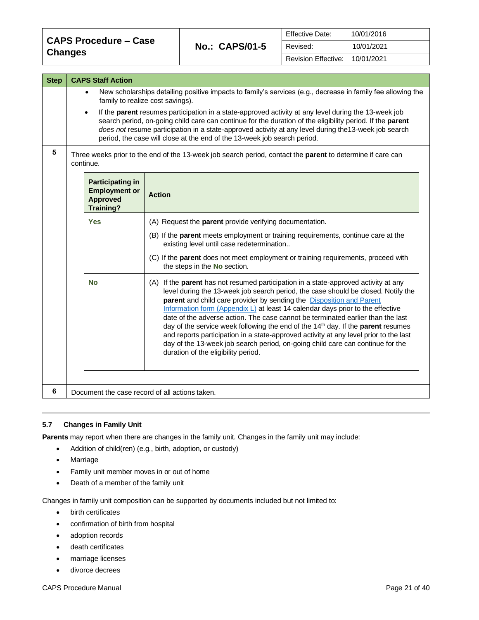| <b>CAPS Procedure - Case</b> |                       | <b>Effective Date:</b> | 10/01/2016 |
|------------------------------|-----------------------|------------------------|------------|
| <b>Changes</b>               | <b>No.: CAPS/01-5</b> | Revised:               | 10/01/2021 |
|                              |                       | Revision Effective:    | 10/01/2021 |

| <b>Step</b> | <b>CAPS Staff Action</b>                                                               |                                                                                                                                                                                                                                                                                                                                                                                                                                                                                                                                                                                                                                                                                                                                                                 |
|-------------|----------------------------------------------------------------------------------------|-----------------------------------------------------------------------------------------------------------------------------------------------------------------------------------------------------------------------------------------------------------------------------------------------------------------------------------------------------------------------------------------------------------------------------------------------------------------------------------------------------------------------------------------------------------------------------------------------------------------------------------------------------------------------------------------------------------------------------------------------------------------|
|             | $\bullet$                                                                              | New scholarships detailing positive impacts to family's services (e.g., decrease in family fee allowing the<br>family to realize cost savings).                                                                                                                                                                                                                                                                                                                                                                                                                                                                                                                                                                                                                 |
|             | $\bullet$                                                                              | If the parent resumes participation in a state-approved activity at any level during the 13-week job<br>search period, on-going child care can continue for the duration of the eligibility period. If the parent<br>does not resume participation in a state-approved activity at any level during the 13-week job search<br>period, the case will close at the end of the 13-week job search period.                                                                                                                                                                                                                                                                                                                                                          |
| 5           | continue.                                                                              | Three weeks prior to the end of the 13-week job search period, contact the parent to determine if care can                                                                                                                                                                                                                                                                                                                                                                                                                                                                                                                                                                                                                                                      |
|             | <b>Participating in</b><br><b>Employment or</b><br><b>Approved</b><br><b>Training?</b> | <b>Action</b>                                                                                                                                                                                                                                                                                                                                                                                                                                                                                                                                                                                                                                                                                                                                                   |
|             | <b>Yes</b>                                                                             | (A) Request the parent provide verifying documentation.                                                                                                                                                                                                                                                                                                                                                                                                                                                                                                                                                                                                                                                                                                         |
|             |                                                                                        | (B) If the parent meets employment or training requirements, continue care at the<br>existing level until case redetermination                                                                                                                                                                                                                                                                                                                                                                                                                                                                                                                                                                                                                                  |
|             |                                                                                        | (C) If the parent does not meet employment or training requirements, proceed with<br>the steps in the No section.                                                                                                                                                                                                                                                                                                                                                                                                                                                                                                                                                                                                                                               |
|             | <b>No</b>                                                                              | (A) If the <b>parent</b> has not resumed participation in a state-approved activity at any<br>level during the 13-week job search period, the case should be closed. Notify the<br>parent and child care provider by sending the <b>Disposition and Parent</b><br>Information form (Appendix $L$ ) at least 14 calendar days prior to the effective<br>date of the adverse action. The case cannot be terminated earlier than the last<br>day of the service week following the end of the 14 <sup>th</sup> day. If the <b>parent</b> resumes<br>and reports participation in a state-approved activity at any level prior to the last<br>day of the 13-week job search period, on-going child care can continue for the<br>duration of the eligibility period. |
| 6           | Document the case record of all actions taken.                                         |                                                                                                                                                                                                                                                                                                                                                                                                                                                                                                                                                                                                                                                                                                                                                                 |

#### <span id="page-20-0"></span>**5.7 Changes in Family Unit**

**Parents** may report when there are changes in the family unit. Changes in the family unit may include:

- Addition of child(ren) (e.g., birth, adoption, or custody)
- Marriage
- Family unit member moves in or out of home
- Death of a member of the family unit

Changes in family unit composition can be supported by documents included but not limited to:

- birth certificates
- confirmation of birth from hospital
- adoption records
- death certificates
- marriage licenses
- divorce decrees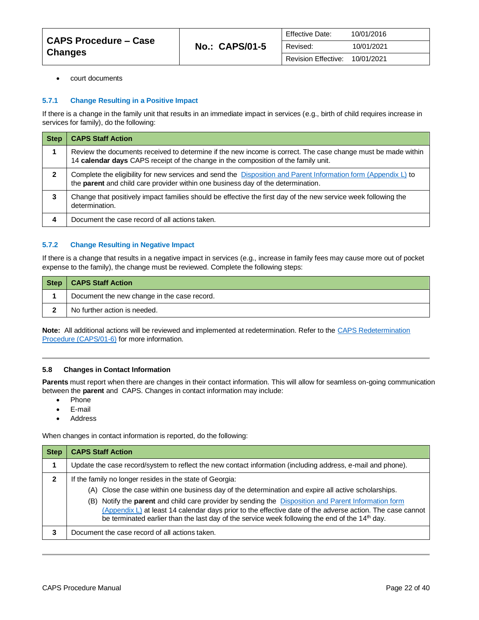| <b>CAPS Procedure - Case</b> | <b>No.: CAPS/01-5</b> | <b>Effective Date:</b>     | 10/01/2016 |
|------------------------------|-----------------------|----------------------------|------------|
| <b>Changes</b>               |                       | Revised:                   | 10/01/2021 |
|                              |                       | <b>Revision Effective:</b> | 10/01/2021 |

• court documents

#### **5.7.1 Change Resulting in a Positive Impact**

If there is a change in the family unit that results in an immediate impact in services (e.g., birth of child requires increase in services for family), do the following:

| <b>Step</b> | <b>CAPS Staff Action</b>                                                                                                                                                                           |
|-------------|----------------------------------------------------------------------------------------------------------------------------------------------------------------------------------------------------|
|             | Review the documents received to determine if the new income is correct. The case change must be made within<br>14 calendar days CAPS receipt of the change in the composition of the family unit. |
| 2           | Complete the eligibility for new services and send the Disposition and Parent Information form (Appendix L) to<br>the parent and child care provider within one business day of the determination. |
| 3           | Change that positively impact families should be effective the first day of the new service week following the<br>determination.                                                                   |
| 4           | Document the case record of all actions taken.                                                                                                                                                     |

#### **5.7.2 Change Resulting in Negative Impact**

If there is a change that results in a negative impact in services (e.g., increase in family fees may cause more out of pocket expense to the family), the change must be reviewed. Complete the following steps:

| Step | <b>CAPS Staff Action</b>                    |
|------|---------------------------------------------|
|      | Document the new change in the case record. |
|      | No further action is needed.                |

**Note:** All additional actions will be reviewed and implemented at redetermination. Refer to the [CAPS Redetermination](https://caps.decal.ga.gov/assets/downloads/CAPS/06-CAPS_Procedures-Redetermination.pdf)  [Procedure \(CAPS/01-6\)](https://caps.decal.ga.gov/assets/downloads/CAPS/06-CAPS_Procedures-Redetermination.pdf) for more information.

#### <span id="page-21-0"></span>**5.8 Changes in Contact Information**

**Parents** must report when there are changes in their contact information. This will allow for seamless on-going communication between the **parent** and CAPS. Changes in contact information may include:

- Phone
- E-mail
- Address

When changes in contact information is reported, do the following:

| <b>Step</b> | <b>CAPS Staff Action</b>                                                                                                                                                                                                                                                                                                                                                                                                                                                               |  |  |
|-------------|----------------------------------------------------------------------------------------------------------------------------------------------------------------------------------------------------------------------------------------------------------------------------------------------------------------------------------------------------------------------------------------------------------------------------------------------------------------------------------------|--|--|
|             | Update the case record/system to reflect the new contact information (including address, e-mail and phone).                                                                                                                                                                                                                                                                                                                                                                            |  |  |
| 2           | If the family no longer resides in the state of Georgia:<br>(A) Close the case within one business day of the determination and expire all active scholarships.<br>(B) Notify the parent and child care provider by sending the Disposition and Parent Information form<br>(Appendix L) at least 14 calendar days prior to the effective date of the adverse action. The case cannot<br>be terminated earlier than the last day of the service week following the end of the 14th day. |  |  |
| 3           | Document the case record of all actions taken.                                                                                                                                                                                                                                                                                                                                                                                                                                         |  |  |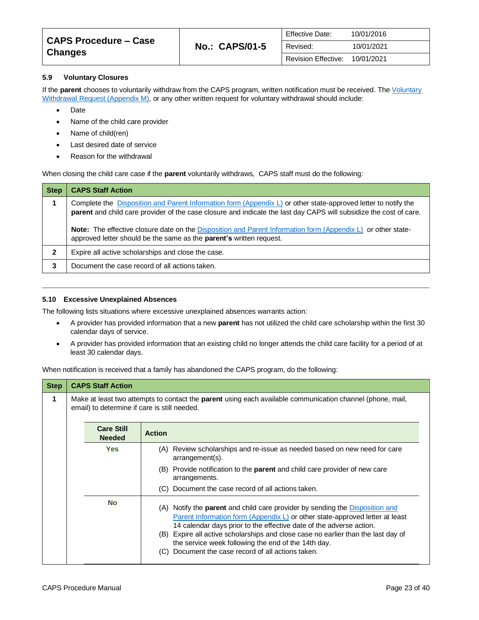| CAPS Procedure – Case | <b>No.: CAPS/01-5</b> | Effective Date:     | 10/01/2016 |
|-----------------------|-----------------------|---------------------|------------|
| <b>Changes</b>        |                       | Revised:            | 10/01/2021 |
|                       |                       | Revision Effective: | 10/01/2021 |

#### <span id="page-22-0"></span>**5.9 Voluntary Closures**

If the **parent** chooses to voluntarily withdraw from the CAPS program, written notification must be received. The *Voluntary* [Withdrawal Request \(Appendix M\),](https://caps.decal.ga.gov/assets/downloads/CAPS/AppendixM-Form%2064%20Voluntary%20Withdrawal.pdf) or any other written request for voluntary withdrawal should include:

- Date
- Name of the child care provider
- Name of child(ren)
- Last desired date of service
- Reason for the withdrawal

When closing the child care case if the **parent** voluntarily withdraws, CAPS staff must do the following:

| <b>Step</b>  | <b>CAPS Staff Action</b>                                                                                                                                                                                                                                                                                                                                                                                                                  |
|--------------|-------------------------------------------------------------------------------------------------------------------------------------------------------------------------------------------------------------------------------------------------------------------------------------------------------------------------------------------------------------------------------------------------------------------------------------------|
|              | Complete the Disposition and Parent Information form (Appendix L) or other state-approved letter to notify the<br>parent and child care provider of the case closure and indicate the last day CAPS will subsidize the cost of care.<br><b>Note:</b> The effective closure date on the Disposition and Parent Information form (Appendix L) or other state-<br>approved letter should be the same as the <b>parent's</b> written request. |
| $\mathbf{2}$ | Expire all active scholarships and close the case.                                                                                                                                                                                                                                                                                                                                                                                        |
| 3            | Document the case record of all actions taken.                                                                                                                                                                                                                                                                                                                                                                                            |

#### <span id="page-22-1"></span>**5.10 Excessive Unexplained Absences**

The following lists situations where excessive unexplained absences warrants action:

- A provider has provided information that a new **parent** has not utilized the child care scholarship within the first 30 calendar days of service.
- A provider has provided information that an existing child no longer attends the child care facility for a period of at least 30 calendar days.

When notification is received that a family has abandoned the CAPS program, do the following:

| <b>Step</b> | <b>CAPS Staff Action</b>                                                                                                                                  |                                                                                                                                                                                                                                                                                                                                                                                                                                                        |  |
|-------------|-----------------------------------------------------------------------------------------------------------------------------------------------------------|--------------------------------------------------------------------------------------------------------------------------------------------------------------------------------------------------------------------------------------------------------------------------------------------------------------------------------------------------------------------------------------------------------------------------------------------------------|--|
| 1           | Make at least two attempts to contact the parent using each available communication channel (phone, mail,<br>email) to determine if care is still needed. |                                                                                                                                                                                                                                                                                                                                                                                                                                                        |  |
|             | <b>Care Still</b><br><b>Needed</b>                                                                                                                        | <b>Action</b>                                                                                                                                                                                                                                                                                                                                                                                                                                          |  |
|             | <b>Yes</b>                                                                                                                                                | (A) Review scholarships and re-issue as needed based on new need for care<br>arrangement(s).                                                                                                                                                                                                                                                                                                                                                           |  |
|             |                                                                                                                                                           | (B) Provide notification to the <b>parent</b> and child care provider of new care<br>arrangements.                                                                                                                                                                                                                                                                                                                                                     |  |
|             |                                                                                                                                                           | Document the case record of all actions taken.<br>(C)                                                                                                                                                                                                                                                                                                                                                                                                  |  |
|             | <b>No</b>                                                                                                                                                 | (A) Notify the <b>parent</b> and child care provider by sending the <b>Disposition</b> and<br>Parent Information form (Appendix L) or other state-approved letter at least<br>14 calendar days prior to the effective date of the adverse action.<br>(B) Expire all active scholarships and close case no earlier than the last day of<br>the service week following the end of the 14th day.<br>Document the case record of all actions taken.<br>(C) |  |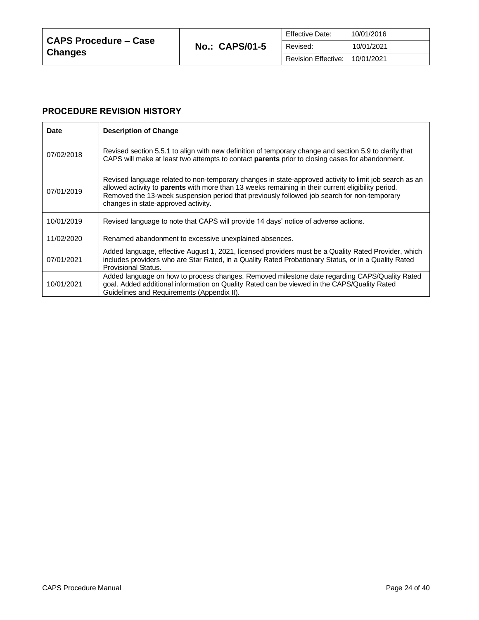## **PROCEDURE REVISION HISTORY**

| <b>Date</b> | <b>Description of Change</b>                                                                                                                                                                                                                                                                                                                       |
|-------------|----------------------------------------------------------------------------------------------------------------------------------------------------------------------------------------------------------------------------------------------------------------------------------------------------------------------------------------------------|
| 07/02/2018  | Revised section 5.5.1 to align with new definition of temporary change and section 5.9 to clarify that<br>CAPS will make at least two attempts to contact <b>parents</b> prior to closing cases for abandonment.                                                                                                                                   |
| 07/01/2019  | Revised language related to non-temporary changes in state-approved activity to limit job search as an<br>allowed activity to parents with more than 13 weeks remaining in their current eligibility period.<br>Removed the 13-week suspension period that previously followed job search for non-temporary<br>changes in state-approved activity. |
| 10/01/2019  | Revised language to note that CAPS will provide 14 days' notice of adverse actions.                                                                                                                                                                                                                                                                |
| 11/02/2020  | Renamed abandonment to excessive unexplained absences.                                                                                                                                                                                                                                                                                             |
| 07/01/2021  | Added language, effective August 1, 2021, licensed providers must be a Quality Rated Provider, which<br>includes providers who are Star Rated, in a Quality Rated Probationary Status, or in a Quality Rated<br>Provisional Status.                                                                                                                |
| 10/01/2021  | Added language on how to process changes. Removed milestone date regarding CAPS/Quality Rated<br>goal. Added additional information on Quality Rated can be viewed in the CAPS/Quality Rated<br>Guidelines and Requirements (Appendix II).                                                                                                         |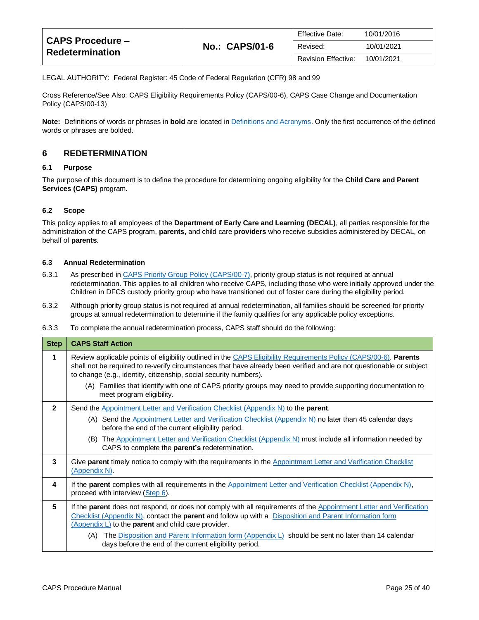| <b>CAPS Procedure –</b><br>Redetermination |                       | Effective Date:            | 10/01/2016 |
|--------------------------------------------|-----------------------|----------------------------|------------|
|                                            | <b>No.: CAPS/01-6</b> | Revised:                   | 10/01/2021 |
|                                            |                       | <b>Revision Effective:</b> | 10/01/2021 |

LEGAL AUTHORITY: Federal Register: 45 Code of Federal Regulation (CFR) 98 and 99

Cross Reference/See Also: CAPS Eligibility Requirements Policy (CAPS/00-6), CAPS Case Change and Documentation Policy (CAPS/00-13)

**Note:** Definitions of words or phrases in **bold** are located i[n Definitions and Acronyms.](https://caps.decal.ga.gov/assets/downloads/CAPS/02-CAPS_Policy-Definitions%20and%20Acronyms.pdf) Only the first occurrence of the defined words or phrases are bolded.

## <span id="page-24-0"></span>**6 REDETERMINATION**

#### <span id="page-24-1"></span>**6.1 Purpose**

The purpose of this document is to define the procedure for determining ongoing eligibility for the **Child Care and Parent Services (CAPS)** program.

#### <span id="page-24-2"></span>**6.2 Scope**

This policy applies to all employees of the **Department of Early Care and Learning (DECAL)**, all parties responsible for the administration of the CAPS program, **parents,** and child care **providers** who receive subsidies administered by DECAL, on behalf of **parents**.

#### <span id="page-24-3"></span>**6.3 Annual Redetermination**

- 6.3.1 As prescribed in [CAPS Priority Group Policy \(CAPS/00-7\),](https://caps.decal.ga.gov/assets/downloads/CAPS/07-CAPS_Policy-Priority%20Groups.pdf) priority group status is not required at annual redetermination. This applies to all children who receive CAPS, including those who were initially approved under the Children in DFCS custody priority group who have transitioned out of foster care during the eligibility period.
- 6.3.2 Although priority group status is not required at annual redetermination, all families should be screened for priority groups at annual redetermination to determine if the family qualifies for any applicable policy exceptions.

6.3.3 To complete the annual redetermination process, CAPS staff should do the following:

| <b>Step</b>  | <b>CAPS Staff Action</b>                                                                                                                                                                                                                                                                                       |
|--------------|----------------------------------------------------------------------------------------------------------------------------------------------------------------------------------------------------------------------------------------------------------------------------------------------------------------|
| 1            | Review applicable points of eligibility outlined in the CAPS Eligibility Requirements Policy (CAPS/00-6). Parents<br>shall not be required to re-verify circumstances that have already been verified and are not questionable or subject<br>to change (e.g., identity, citizenship, social security numbers). |
|              | (A) Families that identify with one of CAPS priority groups may need to provide supporting documentation to<br>meet program eligibility.                                                                                                                                                                       |
| $\mathbf{c}$ | Send the Appointment Letter and Verification Checklist (Appendix N) to the parent.                                                                                                                                                                                                                             |
|              | (A) Send the Appointment Letter and Verification Checklist (Appendix N) no later than 45 calendar days<br>before the end of the current eligibility period.                                                                                                                                                    |
|              | The Appointment Letter and Verification Checklist (Appendix N) must include all information needed by<br>(B)<br>CAPS to complete the parent's redetermination.                                                                                                                                                 |
| 3            | Give parent timely notice to comply with the requirements in the Appointment Letter and Verification Checklist<br>(Appendix N).                                                                                                                                                                                |
| 4            | If the parent complies with all requirements in the Appointment Letter and Verification Checklist (Appendix N),<br>proceed with interview (Step 6).                                                                                                                                                            |
| 5            | If the <b>parent</b> does not respond, or does not comply with all requirements of the <b>Appointment</b> Letter and Verification<br>Checklist (Appendix N), contact the parent and follow up with a Disposition and Parent Information form<br>(Appendix L) to the parent and child care provider.            |
|              | The Disposition and Parent Information form (Appendix $L$ ) should be sent no later than 14 calendar<br>(A)<br>days before the end of the current eligibility period.                                                                                                                                          |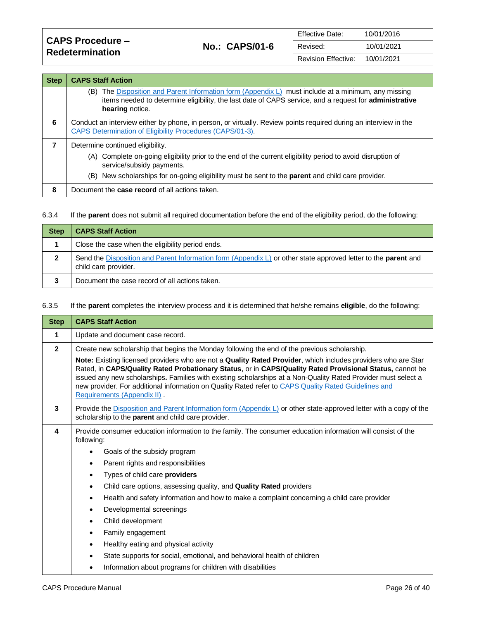| <b>CAPS Procedure –</b><br><b>Redetermination</b> | <b>No.: CAPS/01-6</b> | <b>Effective Date:</b>     | 10/01/2016 |
|---------------------------------------------------|-----------------------|----------------------------|------------|
|                                                   |                       | Revised:                   | 10/01/2021 |
|                                                   |                       | <b>Revision Effective:</b> | 10/01/2021 |

<span id="page-25-0"></span>

| <b>Step</b> | <b>CAPS Staff Action</b>                                                                                                                                                                                                            |
|-------------|-------------------------------------------------------------------------------------------------------------------------------------------------------------------------------------------------------------------------------------|
|             | The Disposition and Parent Information form (Appendix L) must include at a minimum, any missing<br>(B)<br>items needed to determine eligibility, the last date of CAPS service, and a request for administrative<br>hearing notice. |
| 6           | Conduct an interview either by phone, in person, or virtually. Review points required during an interview in the<br>CAPS Determination of Eligibility Procedures (CAPS/01-3).                                                       |
| 7           | Determine continued eligibility.                                                                                                                                                                                                    |
|             | (A) Complete on-going eligibility prior to the end of the current eligibility period to avoid disruption of<br>service/subsidy payments.                                                                                            |
|             | (B) New scholarships for on-going eligibility must be sent to the <b>parent</b> and child care provider.                                                                                                                            |
| 8           | Document the <b>case record</b> of all actions taken.                                                                                                                                                                               |

## 6.3.4 If the **parent** does not submit all required documentation before the end of the eligibility period, do the following:

| <b>Step</b> | <b>CAPS Staff Action</b>                                                                                                                      |
|-------------|-----------------------------------------------------------------------------------------------------------------------------------------------|
|             | Close the case when the eligibility period ends.                                                                                              |
|             | Send the Disposition and Parent Information form (Appendix L) or other state approved letter to the <b>parent</b> and<br>child care provider. |
| 3           | Document the case record of all actions taken.                                                                                                |

## 6.3.5 If the **parent** completes the interview process and it is determined that he/she remains **eligible**, do the following:

| <b>Step</b>    | <b>CAPS Staff Action</b>                                                                                                                                                                                                                                                                                                                                                                                                                                                                                                                                                                                                                                                                                                  |  |
|----------------|---------------------------------------------------------------------------------------------------------------------------------------------------------------------------------------------------------------------------------------------------------------------------------------------------------------------------------------------------------------------------------------------------------------------------------------------------------------------------------------------------------------------------------------------------------------------------------------------------------------------------------------------------------------------------------------------------------------------------|--|
| 1              | Update and document case record.                                                                                                                                                                                                                                                                                                                                                                                                                                                                                                                                                                                                                                                                                          |  |
| $\overline{2}$ | Create new scholarship that begins the Monday following the end of the previous scholarship.<br>Note: Existing licensed providers who are not a Quality Rated Provider, which includes providers who are Star<br>Rated, in CAPS/Quality Rated Probationary Status, or in CAPS/Quality Rated Provisional Status, cannot be<br>issued any new scholarships. Families with existing scholarships at a Non-Quality Rated Provider must select a<br>new provider. For additional information on Quality Rated refer to CAPS Quality Rated Guidelines and<br>Requirements (Appendix II).                                                                                                                                        |  |
| 3              | Provide the Disposition and Parent Information form (Appendix L) or other state-approved letter with a copy of the<br>scholarship to the parent and child care provider.                                                                                                                                                                                                                                                                                                                                                                                                                                                                                                                                                  |  |
| 4              | Provide consumer education information to the family. The consumer education information will consist of the<br>following:<br>Goals of the subsidy program<br>Parent rights and responsibilities<br>$\bullet$<br>Types of child care providers<br>$\bullet$<br>Child care options, assessing quality, and Quality Rated providers<br>٠<br>Health and safety information and how to make a complaint concerning a child care provider<br>$\bullet$<br>Developmental screenings<br>Child development<br>٠<br>Family engagement<br>$\bullet$<br>Healthy eating and physical activity<br>State supports for social, emotional, and behavioral health of children<br>Information about programs for children with disabilities |  |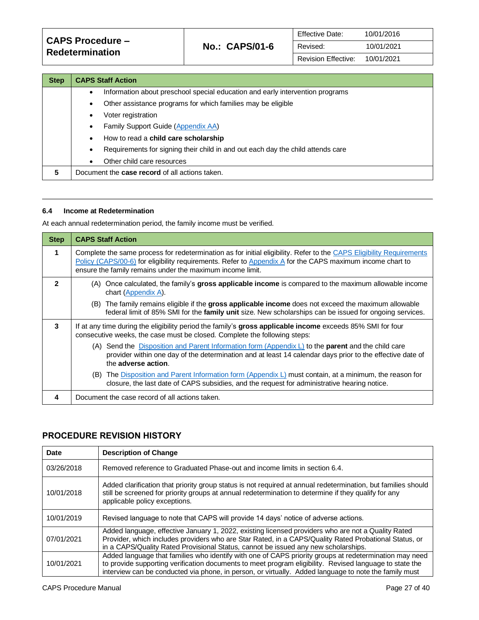| <b>CAPS Procedure -</b><br><b>Redetermination</b> | <b>No.: CAPS/01-6</b> | <b>Effective Date:</b>     | 10/01/2016 |
|---------------------------------------------------|-----------------------|----------------------------|------------|
|                                                   |                       | Revised:                   | 10/01/2021 |
|                                                   |                       | <b>Revision Effective:</b> | 10/01/2021 |

| <b>Step</b> | <b>CAPS Staff Action</b>                                                                     |
|-------------|----------------------------------------------------------------------------------------------|
|             | Information about preschool special education and early intervention programs<br>$\bullet$   |
|             | Other assistance programs for which families may be eligible<br>$\bullet$                    |
|             | Voter registration<br>$\bullet$                                                              |
|             | Family Support Guide (Appendix AA)<br>$\bullet$                                              |
|             | How to read a <b>child care scholarship</b><br>$\bullet$                                     |
|             | Requirements for signing their child in and out each day the child attends care<br>$\bullet$ |
|             | Other child care resources<br>$\bullet$                                                      |
| 5           | Document the <b>case record</b> of all actions taken.                                        |

#### <span id="page-26-0"></span>**6.4 Income at Redetermination**

At each annual redetermination period, the family income must be verified.

| <b>Step</b>  | <b>CAPS Staff Action</b>                                                                                                                                                                                                                                                                                                                        |
|--------------|-------------------------------------------------------------------------------------------------------------------------------------------------------------------------------------------------------------------------------------------------------------------------------------------------------------------------------------------------|
| 1            | Complete the same process for redetermination as for initial eligibility. Refer to the CAPS Eligibility Requirements<br>Policy (CAPS/00-6) for eligibility requirements. Refer to Appendix A for the CAPS maximum income chart to<br>ensure the family remains under the maximum income limit.                                                  |
| $\mathbf{c}$ | (A) Once calculated, the family's gross applicable income is compared to the maximum allowable income<br>chart (Appendix A).<br>(B) The family remains eligible if the gross applicable income does not exceed the maximum allowable<br>federal limit of 85% SMI for the family unit size. New scholarships can be issued for ongoing services. |
| 3            | If at any time during the eligibility period the family's gross applicable income exceeds 85% SMI for four<br>consecutive weeks, the case must be closed. Complete the following steps:                                                                                                                                                         |
|              | (A) Send the Disposition and Parent Information form (Appendix $L$ ) to the <b>parent</b> and the child care<br>provider within one day of the determination and at least 14 calendar days prior to the effective date of<br>the adverse action.                                                                                                |
|              | (B) The Disposition and Parent Information form (Appendix L) must contain, at a minimum, the reason for<br>closure, the last date of CAPS subsidies, and the request for administrative hearing notice.                                                                                                                                         |
| 4            | Document the case record of all actions taken.                                                                                                                                                                                                                                                                                                  |

## **PROCEDURE REVISION HISTORY**

| Date       | <b>Description of Change</b>                                                                                                                                                                                                                                                                                               |
|------------|----------------------------------------------------------------------------------------------------------------------------------------------------------------------------------------------------------------------------------------------------------------------------------------------------------------------------|
| 03/26/2018 | Removed reference to Graduated Phase-out and income limits in section 6.4.                                                                                                                                                                                                                                                 |
| 10/01/2018 | Added clarification that priority group status is not required at annual redetermination, but families should<br>still be screened for priority groups at annual redetermination to determine if they qualify for any<br>applicable policy exceptions.                                                                     |
| 10/01/2019 | Revised language to note that CAPS will provide 14 days' notice of adverse actions.                                                                                                                                                                                                                                        |
| 07/01/2021 | Added language, effective January 1, 2022, existing licensed providers who are not a Quality Rated<br>Provider, which includes providers who are Star Rated, in a CAPS/Quality Rated Probational Status, or<br>in a CAPS/Quality Rated Provisional Status, cannot be issued any new scholarships.                          |
| 10/01/2021 | Added language that families who identify with one of CAPS priority groups at redetermination may need<br>to provide supporting verification documents to meet program eligibility. Revised language to state the<br>interview can be conducted via phone, in person, or virtually. Added language to note the family must |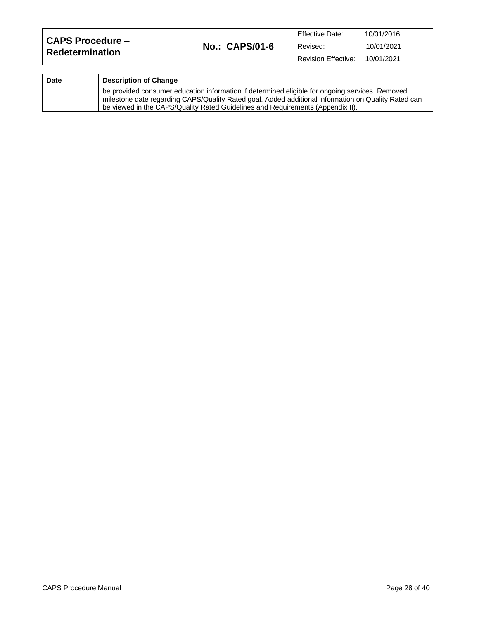| <b>CAPS Procedure –</b><br><b>Redetermination</b> | <b>No.: CAPS/01-6</b> | <b>Effective Date:</b>     | 10/01/2016 |
|---------------------------------------------------|-----------------------|----------------------------|------------|
|                                                   |                       | Revised:                   | 10/01/2021 |
|                                                   |                       | <b>Revision Effective:</b> | 10/01/2021 |

| <b>Date</b> | <b>Description of Change</b>                                                                                                                                                                                                                                                             |
|-------------|------------------------------------------------------------------------------------------------------------------------------------------------------------------------------------------------------------------------------------------------------------------------------------------|
|             | be provided consumer education information if determined eligible for ongoing services. Removed<br>milestone date regarding CAPS/Quality Rated goal. Added additional information on Quality Rated can<br>be viewed in the CAPS/Quality Rated Guidelines and Requirements (Appendix II). |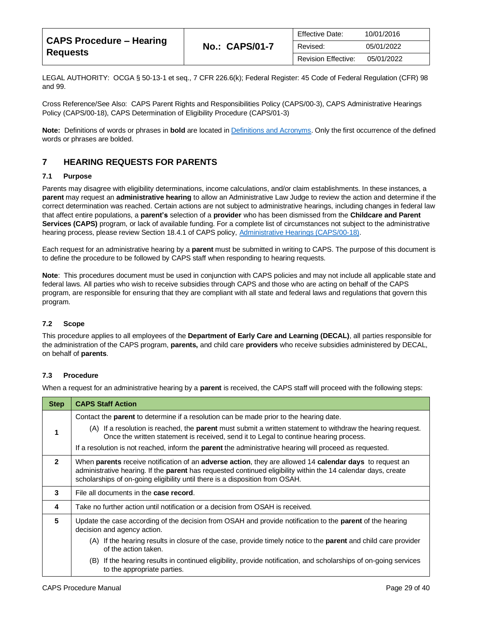| <b>CAPS Procedure - Hearing</b><br><b>Requests</b> |                       | <b>Effective Date:</b>     | 10/01/2016 |
|----------------------------------------------------|-----------------------|----------------------------|------------|
|                                                    | <b>No.: CAPS/01-7</b> | Revised:                   | 05/01/2022 |
|                                                    |                       | <b>Revision Effective:</b> | 05/01/2022 |

LEGAL AUTHORITY: OCGA § 50-13-1 et seq., 7 CFR 226.6(k); Federal Register: 45 Code of Federal Regulation (CFR) 98 and 99.

Cross Reference/See Also: CAPS Parent Rights and Responsibilities Policy (CAPS/00-3), CAPS Administrative Hearings Policy (CAPS/00-18), CAPS Determination of Eligibility Procedure (CAPS/01-3)

**Note:** Definitions of words or phrases in **bold** are located i[n Definitions and Acronyms.](https://caps.decal.ga.gov/assets/downloads/CAPS/02-CAPS_Policy-Definitions%20and%20Acronyms.pdf) Only the first occurrence of the defined words or phrases are bolded.

## <span id="page-28-0"></span>**7 HEARING REQUESTS FOR PARENTS**

#### <span id="page-28-1"></span>**7.1 Purpose**

Parents may disagree with eligibility determinations, income calculations, and/or claim establishments. In these instances, a **parent** may request an **administrative hearing** to allow an Administrative Law Judge to review the action and determine if the correct determination was reached. Certain actions are not subject to administrative hearings, including changes in federal law that affect entire populations, a **parent's** selection of a **provider** who has been dismissed from the **Childcare and Parent Services (CAPS)** program, or lack of available funding. For a complete list of circumstances not subject to the administrative hearing process, please review Section 18.4.1 of CAPS policy[, Administrative Hearings \(CAPS/00-18\).](https://caps.decal.ga.gov/assets/downloads/CAPS/18-CAPS_Policy-Administrative%20Hearings.pdf)

Each request for an administrative hearing by a **parent** must be submitted in writing to CAPS. The purpose of this document is to define the procedure to be followed by CAPS staff when responding to hearing requests.

**Note**: This procedures document must be used in conjunction with CAPS policies and may not include all applicable state and federal laws. All parties who wish to receive subsidies through CAPS and those who are acting on behalf of the CAPS program, are responsible for ensuring that they are compliant with all state and federal laws and regulations that govern this program.

#### <span id="page-28-2"></span>**7.2 Scope**

This procedure applies to all employees of the **Department of Early Care and Learning (DECAL)**, all parties responsible for the administration of the CAPS program, **parents,** and child care **providers** who receive subsidies administered by DECAL, on behalf of **parents**.

#### <span id="page-28-3"></span>**7.3 Procedure**

When a request for an administrative hearing by a **parent** is received, the CAPS staff will proceed with the following steps:

| <b>Step</b>    | <b>CAPS Staff Action</b>                                                                                                                                                                                                                                                                                                              |  |
|----------------|---------------------------------------------------------------------------------------------------------------------------------------------------------------------------------------------------------------------------------------------------------------------------------------------------------------------------------------|--|
|                | Contact the <b>parent</b> to determine if a resolution can be made prior to the hearing date.                                                                                                                                                                                                                                         |  |
| 1              | (A) If a resolution is reached, the <b>parent</b> must submit a written statement to withdraw the hearing request.<br>Once the written statement is received, send it to Legal to continue hearing process.                                                                                                                           |  |
|                | If a resolution is not reached, inform the <b>parent</b> the administrative hearing will proceed as requested.                                                                                                                                                                                                                        |  |
| $\overline{2}$ | When <b>parents</b> receive notification of an <b>adverse action</b> , they are allowed 14 <b>calendar days</b> to request an<br>administrative hearing. If the <b>parent</b> has requested continued eligibility within the 14 calendar days, create<br>scholarships of on-going eligibility until there is a disposition from OSAH. |  |
| 3              | File all documents in the <b>case record</b> .                                                                                                                                                                                                                                                                                        |  |
| 4              | Take no further action until notification or a decision from OSAH is received.                                                                                                                                                                                                                                                        |  |
| 5              | Update the case according of the decision from OSAH and provide notification to the <b>parent</b> of the hearing<br>decision and agency action.                                                                                                                                                                                       |  |
|                | (A) If the hearing results in closure of the case, provide timely notice to the <b>parent</b> and child care provider<br>of the action taken.                                                                                                                                                                                         |  |
|                | If the hearing results in continued eligibility, provide notification, and scholarships of on-going services<br>(B)<br>to the appropriate parties.                                                                                                                                                                                    |  |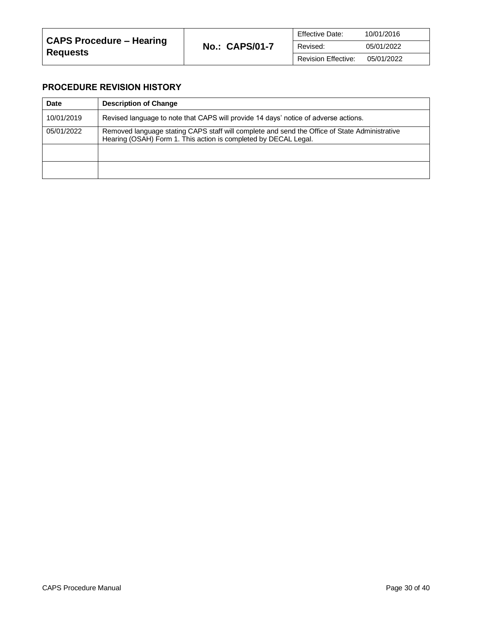## **PROCEDURE REVISION HISTORY**

| <b>Date</b> | <b>Description of Change</b>                                                                                                                                     |
|-------------|------------------------------------------------------------------------------------------------------------------------------------------------------------------|
| 10/01/2019  | Revised language to note that CAPS will provide 14 days' notice of adverse actions.                                                                              |
| 05/01/2022  | Removed language stating CAPS staff will complete and send the Office of State Administrative<br>Hearing (OSAH) Form 1. This action is completed by DECAL Legal. |
|             |                                                                                                                                                                  |
|             |                                                                                                                                                                  |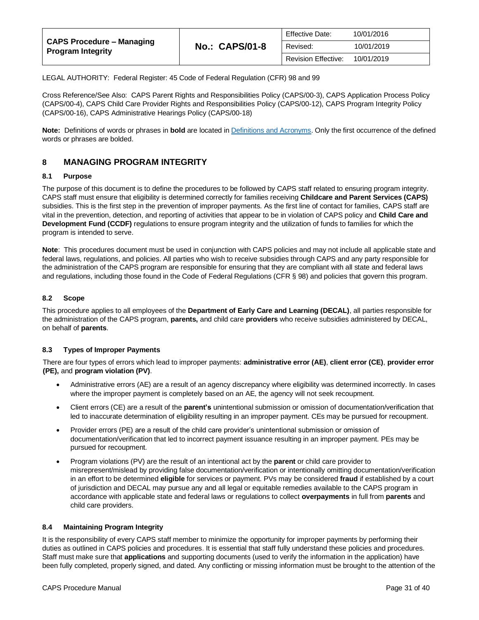| <b>CAPS Procedure - Managing</b><br><b>Program Integrity</b> | <b>Effective Date:</b><br><b>No.: CAPS/01-8</b><br>Revised: | 10/01/2016                 |            |
|--------------------------------------------------------------|-------------------------------------------------------------|----------------------------|------------|
|                                                              |                                                             |                            | 10/01/2019 |
|                                                              |                                                             | <b>Revision Effective:</b> | 10/01/2019 |

LEGAL AUTHORITY: Federal Register: 45 Code of Federal Regulation (CFR) 98 and 99

Cross Reference/See Also: CAPS Parent Rights and Responsibilities Policy (CAPS/00-3), CAPS Application Process Policy (CAPS/00-4), CAPS Child Care Provider Rights and Responsibilities Policy (CAPS/00-12), CAPS Program Integrity Policy (CAPS/00-16), CAPS Administrative Hearings Policy (CAPS/00-18)

**Note:** Definitions of words or phrases in **bold** are located i[n Definitions and Acronyms.](https://caps.decal.ga.gov/assets/downloads/CAPS/02-CAPS_Policy-Definitions%20and%20Acronyms.pdf) Only the first occurrence of the defined words or phrases are bolded.

## <span id="page-30-0"></span>**8 MANAGING PROGRAM INTEGRITY**

#### <span id="page-30-1"></span>**8.1 Purpose**

The purpose of this document is to define the procedures to be followed by CAPS staff related to ensuring program integrity. CAPS staff must ensure that eligibility is determined correctly for families receiving **Childcare and Parent Services (CAPS)** subsidies. This is the first step in the prevention of improper payments. As the first line of contact for families, CAPS staff are vital in the prevention, detection, and reporting of activities that appear to be in violation of CAPS policy and **Child Care and Development Fund (CCDF)** regulations to ensure program integrity and the utilization of funds to families for which the program is intended to serve.

**Note**: This procedures document must be used in conjunction with CAPS policies and may not include all applicable state and federal laws, regulations, and policies. All parties who wish to receive subsidies through CAPS and any party responsible for the administration of the CAPS program are responsible for ensuring that they are compliant with all state and federal laws and regulations, including those found in the Code of Federal Regulations (CFR § 98) and policies that govern this program.

#### <span id="page-30-2"></span>**8.2 Scope**

This procedure applies to all employees of the **Department of Early Care and Learning (DECAL)**, all parties responsible for the administration of the CAPS program, **parents,** and child care **providers** who receive subsidies administered by DECAL, on behalf of **parents**.

#### <span id="page-30-3"></span>**8.3 Types of Improper Payments**

There are four types of errors which lead to improper payments: **administrative error (AE)**, **client error (CE)**, **provider error (PE),** and **program violation (PV)**.

- Administrative errors (AE) are a result of an agency discrepancy where eligibility was determined incorrectly. In cases where the improper payment is completely based on an AE, the agency will not seek recoupment.
- Client errors (CE) are a result of the **parent's** unintentional submission or omission of documentation/verification that led to inaccurate determination of eligibility resulting in an improper payment. CEs may be pursued for recoupment.
- Provider errors (PE) are a result of the child care provider's unintentional submission or omission of documentation/verification that led to incorrect payment issuance resulting in an improper payment. PEs may be pursued for recoupment.
- Program violations (PV) are the result of an intentional act by the **parent** or child care provider to misrepresent/mislead by providing false documentation/verification or intentionally omitting documentation/verification in an effort to be determined **eligible** for services or payment. PVs may be considered **fraud** if established by a court of jurisdiction and DECAL may pursue any and all legal or equitable remedies available to the CAPS program in accordance with applicable state and federal laws or regulations to collect **overpayments** in full from **parents** and child care providers.

#### <span id="page-30-4"></span>**8.4 Maintaining Program Integrity**

It is the responsibility of every CAPS staff member to minimize the opportunity for improper payments by performing their duties as outlined in CAPS policies and procedures. It is essential that staff fully understand these policies and procedures. Staff must make sure that **applications** and supporting documents (used to verify the information in the application) have been fully completed, properly signed, and dated. Any conflicting or missing information must be brought to the attention of the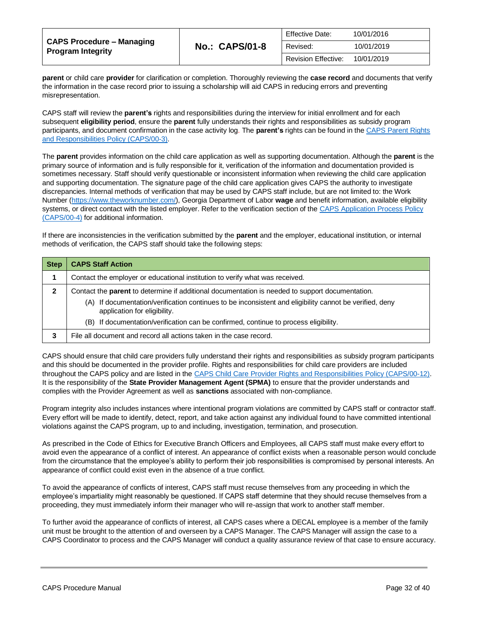| CAPS Procedure – Managing<br><b>Program Integrity</b> |                       | <b>Effective Date:</b>     | 10/01/2016 |
|-------------------------------------------------------|-----------------------|----------------------------|------------|
|                                                       | <b>No.: CAPS/01-8</b> | Revised:                   | 10/01/2019 |
|                                                       |                       | <b>Revision Effective:</b> | 10/01/2019 |

**parent** or child care **provider** for clarification or completion. Thoroughly reviewing the **case record** and documents that verify the information in the case record prior to issuing a scholarship will aid CAPS in reducing errors and preventing misrepresentation.

CAPS staff will review the **parent's** rights and responsibilities during the interview for initial enrollment and for each subsequent **eligibility period**, ensure the **parent** fully understands their rights and responsibilities as subsidy program participants, and document confirmation in the case activity log. The **parent's** rights can be found in the [CAPS Parent Rights](https://caps.decal.ga.gov/assets/downloads/CAPS/03-CAPS_Policy-Parental%20Authority%20Rights%20&%20Responsibilities.pdf)  [and Responsibilities Policy \(CAPS/00-3\).](https://caps.decal.ga.gov/assets/downloads/CAPS/03-CAPS_Policy-Parental%20Authority%20Rights%20&%20Responsibilities.pdf)

The **parent** provides information on the child care application as well as supporting documentation. Although the **parent** is the primary source of information and is fully responsible for it, verification of the information and documentation provided is sometimes necessary. Staff should verify questionable or inconsistent information when reviewing the child care application and supporting documentation. The signature page of the child care application gives CAPS the authority to investigate discrepancies. Internal methods of verification that may be used by CAPS staff include, but are not limited to: the Work Number [\(https://www.theworknumber.com/\)](https://www.theworknumber.com/), Georgia Department of Labor **wage** and benefit information, available eligibility systems, or direct contact with the listed employer. Refer to the verification section of th[e CAPS Application Process Policy](https://caps.decal.ga.gov/assets/downloads/CAPS/04-CAPS_Policy-Application%20Process.pdf)  [\(CAPS/00-4\)](https://caps.decal.ga.gov/assets/downloads/CAPS/04-CAPS_Policy-Application%20Process.pdf) for additional information.

If there are inconsistencies in the verification submitted by the **parent** and the employer, educational institution, or internal methods of verification, the CAPS staff should take the following steps:

| <b>Step</b> | <b>CAPS Staff Action</b>                                                                                                                                                                                                                                                                                                                     |
|-------------|----------------------------------------------------------------------------------------------------------------------------------------------------------------------------------------------------------------------------------------------------------------------------------------------------------------------------------------------|
|             | Contact the employer or educational institution to verify what was received.                                                                                                                                                                                                                                                                 |
| 2           | Contact the <b>parent</b> to determine if additional documentation is needed to support documentation.<br>If documentation/verification continues to be inconsistent and eligibility cannot be verified, deny<br>(A)<br>application for eligibility.<br>(B) If documentation/verification can be confirmed, continue to process eligibility. |
|             | File all document and record all actions taken in the case record.                                                                                                                                                                                                                                                                           |

CAPS should ensure that child care providers fully understand their rights and responsibilities as subsidy program participants and this should be documented in the provider profile. Rights and responsibilities for child care providers are included throughout the CAPS policy and are listed in the [CAPS Child Care Provider Rights and Responsibilities](https://caps.decal.ga.gov/assets/downloads/CAPS/12-CAPS_Policy-Child%20Care%20Provider%20Rights%20&%20Responsibilities.pdf) Policy (CAPS/00-12). It is the responsibility of the **State Provider Management Agent (SPMA)** to ensure that the provider understands and complies with the Provider Agreement as well as **sanctions** associated with non-compliance.

Program integrity also includes instances where intentional program violations are committed by CAPS staff or contractor staff. Every effort will be made to identify, detect, report, and take action against any individual found to have committed intentional violations against the CAPS program, up to and including, investigation, termination, and prosecution.

As prescribed in the Code of Ethics for Executive Branch Officers and Employees, all CAPS staff must make every effort to avoid even the appearance of a conflict of interest. An appearance of conflict exists when a reasonable person would conclude from the circumstance that the employee's ability to perform their job responsibilities is compromised by personal interests. An appearance of conflict could exist even in the absence of a true conflict.

To avoid the appearance of conflicts of interest, CAPS staff must recuse themselves from any proceeding in which the employee's impartiality might reasonably be questioned. If CAPS staff determine that they should recuse themselves from a proceeding, they must immediately inform their manager who will re-assign that work to another staff member.

To further avoid the appearance of conflicts of interest, all CAPS cases where a DECAL employee is a member of the family unit must be brought to the attention of and overseen by a CAPS Manager. The CAPS Manager will assign the case to a CAPS Coordinator to process and the CAPS Manager will conduct a quality assurance review of that case to ensure accuracy.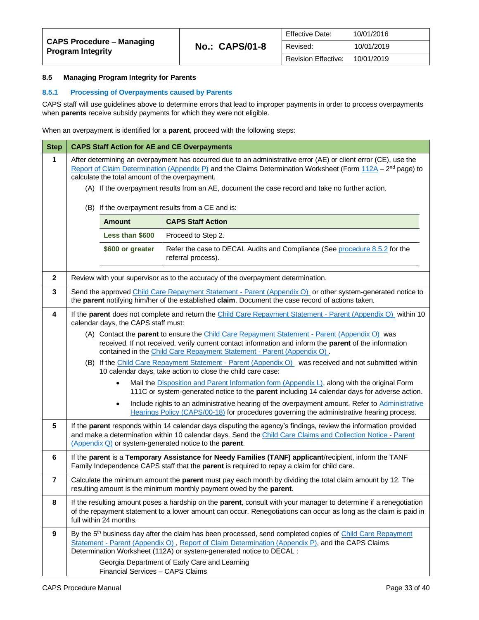## <span id="page-32-0"></span>**8.5 Managing Program Integrity for Parents**

#### <span id="page-32-1"></span>**8.5.1 Processing of Overpayments caused by Parents**

CAPS staff will use guidelines above to determine errors that lead to improper payments in order to process overpayments when **parents** receive subsidy payments for which they were not eligible.

When an overpayment is identified for a **parent**, proceed with the following steps:

| <b>Step</b>             | <b>CAPS Staff Action for AE and CE Overpayments</b>                                                                                                                                                                                                                                                                                                                                             |                                     |                                                                                                                                                                                                                                                                                                   |
|-------------------------|-------------------------------------------------------------------------------------------------------------------------------------------------------------------------------------------------------------------------------------------------------------------------------------------------------------------------------------------------------------------------------------------------|-------------------------------------|---------------------------------------------------------------------------------------------------------------------------------------------------------------------------------------------------------------------------------------------------------------------------------------------------|
| $\mathbf{1}$            | After determining an overpayment has occurred due to an administrative error (AE) or client error (CE), use the<br>Report of Claim Determination (Appendix P) and the Claims Determination Worksheet (Form 112A - 2 <sup>nd</sup> page) to<br>calculate the total amount of the overpayment.<br>(A) If the overpayment results from an AE, document the case record and take no further action. |                                     |                                                                                                                                                                                                                                                                                                   |
|                         |                                                                                                                                                                                                                                                                                                                                                                                                 |                                     | (B) If the overpayment results from a CE and is:                                                                                                                                                                                                                                                  |
|                         |                                                                                                                                                                                                                                                                                                                                                                                                 | <b>Amount</b>                       | <b>CAPS Staff Action</b>                                                                                                                                                                                                                                                                          |
|                         |                                                                                                                                                                                                                                                                                                                                                                                                 | Less than \$600                     | Proceed to Step 2.                                                                                                                                                                                                                                                                                |
|                         |                                                                                                                                                                                                                                                                                                                                                                                                 | \$600 or greater                    | Refer the case to DECAL Audits and Compliance (See procedure 8.5.2 for the<br>referral process).                                                                                                                                                                                                  |
| $\mathbf{2}$            |                                                                                                                                                                                                                                                                                                                                                                                                 |                                     | Review with your supervisor as to the accuracy of the overpayment determination.                                                                                                                                                                                                                  |
| 3                       |                                                                                                                                                                                                                                                                                                                                                                                                 |                                     | Send the approved Child Care Repayment Statement - Parent (Appendix O) or other system-generated notice to<br>the parent notifying him/her of the established claim. Document the case record of actions taken.                                                                                   |
| $\overline{\mathbf{4}}$ |                                                                                                                                                                                                                                                                                                                                                                                                 | calendar days, the CAPS staff must: | If the parent does not complete and return the Child Care Repayment Statement - Parent (Appendix O) within 10                                                                                                                                                                                     |
|                         | (A) Contact the parent to ensure the Child Care Repayment Statement - Parent (Appendix O) was<br>received. If not received, verify current contact information and inform the parent of the information<br>contained in the Child Care Repayment Statement - Parent (Appendix O).                                                                                                               |                                     |                                                                                                                                                                                                                                                                                                   |
|                         | (B) If the Child Care Repayment Statement - Parent (Appendix O) was received and not submitted within<br>10 calendar days, take action to close the child care case:                                                                                                                                                                                                                            |                                     |                                                                                                                                                                                                                                                                                                   |
|                         |                                                                                                                                                                                                                                                                                                                                                                                                 |                                     | Mail the Disposition and Parent Information form (Appendix L), along with the original Form<br>111C or system-generated notice to the parent including 14 calendar days for adverse action.                                                                                                       |
|                         |                                                                                                                                                                                                                                                                                                                                                                                                 | $\bullet$                           | Include rights to an administrative hearing of the overpayment amount. Refer to Administrative<br>Hearings Policy (CAPS/00-18) for procedures governing the administrative hearing process.                                                                                                       |
| 5                       |                                                                                                                                                                                                                                                                                                                                                                                                 |                                     | If the parent responds within 14 calendar days disputing the agency's findings, review the information provided<br>and make a determination within 10 calendar days. Send the Child Care Claims and Collection Notice - Parent<br>(Appendix Q) or system-generated notice to the parent.          |
| 6                       |                                                                                                                                                                                                                                                                                                                                                                                                 |                                     | If the parent is a Temporary Assistance for Needy Families (TANF) applicant/recipient, inform the TANF<br>Family Independence CAPS staff that the <b>parent</b> is required to repay a claim for child care.                                                                                      |
| 7                       |                                                                                                                                                                                                                                                                                                                                                                                                 |                                     | Calculate the minimum amount the parent must pay each month by dividing the total claim amount by 12. The<br>resulting amount is the minimum monthly payment owed by the parent.                                                                                                                  |
| 8                       | If the resulting amount poses a hardship on the parent, consult with your manager to determine if a renegotiation<br>of the repayment statement to a lower amount can occur. Renegotiations can occur as long as the claim is paid in<br>full within 24 months.                                                                                                                                 |                                     |                                                                                                                                                                                                                                                                                                   |
| $\boldsymbol{9}$        |                                                                                                                                                                                                                                                                                                                                                                                                 |                                     | By the 5 <sup>th</sup> business day after the claim has been processed, send completed copies of Child Care Repayment<br>Statement - Parent (Appendix O), Report of Claim Determination (Appendix P), and the CAPS Claims<br>Determination Worksheet (112A) or system-generated notice to DECAL : |
|                         |                                                                                                                                                                                                                                                                                                                                                                                                 | Financial Services - CAPS Claims    | Georgia Department of Early Care and Learning                                                                                                                                                                                                                                                     |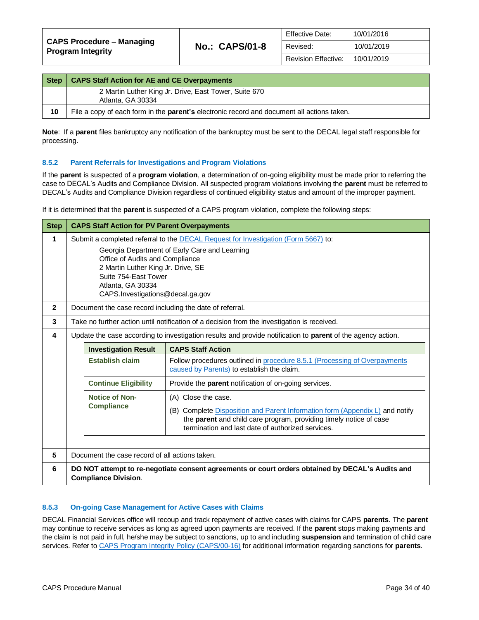| <b>Step</b> | <b>CAPS Staff Action for AE and CE Overpayments</b>                                        |
|-------------|--------------------------------------------------------------------------------------------|
|             | 2 Martin Luther King Jr. Drive, East Tower, Suite 670<br>Atlanta, GA 30334                 |
| 10          | File a copy of each form in the parent's electronic record and document all actions taken. |

**Note**: If a **parent** files bankruptcy any notification of the bankruptcy must be sent to the DECAL legal staff responsible for processing.

#### <span id="page-33-0"></span>**8.5.2 Parent Referrals for Investigations and Program Violations**

If the **parent** is suspected of a **program violation**, a determination of on-going eligibility must be made prior to referring the case to DECAL's Audits and Compliance Division. All suspected program violations involving the **parent** must be referred to DECAL's Audits and Compliance Division regardless of continued eligibility status and amount of the improper payment.

If it is determined that the **parent** is suspected of a CAPS program violation, complete the following steps:

| <b>Step</b>  | <b>CAPS Staff Action for PV Parent Overpayments</b>                                                                                                                                                     |                                                                                                                                                                                                         |  |
|--------------|---------------------------------------------------------------------------------------------------------------------------------------------------------------------------------------------------------|---------------------------------------------------------------------------------------------------------------------------------------------------------------------------------------------------------|--|
| 1            | Submit a completed referral to the DECAL Request for Investigation (Form 5667) to:                                                                                                                      |                                                                                                                                                                                                         |  |
|              | Georgia Department of Early Care and Learning<br>Office of Audits and Compliance<br>2 Martin Luther King Jr. Drive, SE<br>Suite 754-East Tower<br>Atlanta, GA 30334<br>CAPS.Investigations@decal.ga.gov |                                                                                                                                                                                                         |  |
| $\mathbf{2}$ | Document the case record including the date of referral.                                                                                                                                                |                                                                                                                                                                                                         |  |
| 3            |                                                                                                                                                                                                         | Take no further action until notification of a decision from the investigation is received.                                                                                                             |  |
| 4            |                                                                                                                                                                                                         | Update the case according to investigation results and provide notification to parent of the agency action.                                                                                             |  |
|              | <b>Investigation Result</b>                                                                                                                                                                             | <b>CAPS Staff Action</b>                                                                                                                                                                                |  |
|              | <b>Establish claim</b>                                                                                                                                                                                  | Follow procedures outlined in procedure 8.5.1 (Processing of Overpayments<br>caused by Parents) to establish the claim.                                                                                 |  |
|              | <b>Continue Eligibility</b>                                                                                                                                                                             | Provide the <b>parent</b> notification of on-going services.                                                                                                                                            |  |
|              | <b>Notice of Non-</b>                                                                                                                                                                                   | (A) Close the case.                                                                                                                                                                                     |  |
|              | <b>Compliance</b>                                                                                                                                                                                       | (B) Complete Disposition and Parent Information form (Appendix L) and notify<br>the parent and child care program, providing timely notice of case<br>termination and last date of authorized services. |  |
| 5            | Document the case record of all actions taken.                                                                                                                                                          |                                                                                                                                                                                                         |  |
| 6            | <b>Compliance Division.</b>                                                                                                                                                                             | DO NOT attempt to re-negotiate consent agreements or court orders obtained by DECAL's Audits and                                                                                                        |  |

#### **8.5.3 On-going Case Management for Active Cases with Claims**

DECAL Financial Services office will recoup and track repayment of active cases with claims for CAPS **parents**. The **parent** may continue to receive services as long as agreed upon payments are received. If the **parent** stops making payments and the claim is not paid in full, he/she may be subject to sanctions, up to and including **suspension** and termination of child care services. Refer t[o CAPS Program Integrity Policy \(CAPS/00-16\)](https://caps.decal.ga.gov/assets/downloads/CAPS/16-CAPS_Policy-Program%20Integrity.pdf) for additional information regarding sanctions for **parents**.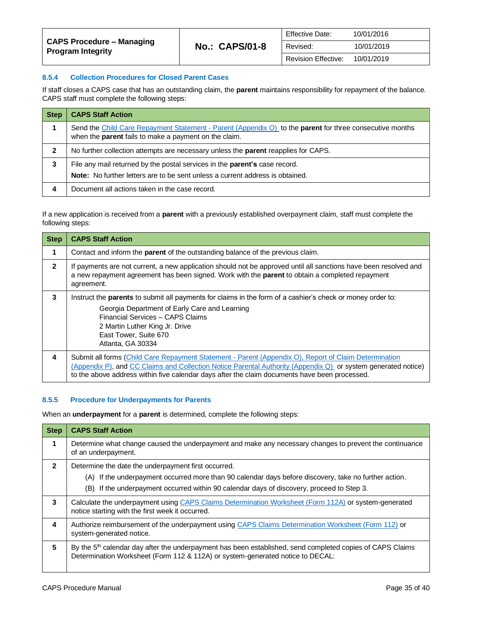#### **8.5.4 Collection Procedures for Closed Parent Cases**

If staff closes a CAPS case that has an outstanding claim, the **parent** maintains responsibility for repayment of the balance. CAPS staff must complete the following steps:

| <b>Step</b> | <b>CAPS Staff Action</b>                                                                                                                                                  |
|-------------|---------------------------------------------------------------------------------------------------------------------------------------------------------------------------|
|             | Send the Child Care Repayment Statement - Parent (Appendix O) to the parent for three consecutive months<br>when the <b>parent</b> fails to make a payment on the claim.  |
| 2           | No further collection attempts are necessary unless the <b>parent</b> reapplies for CAPS.                                                                                 |
| 3           | File any mail returned by the postal services in the <b>parent's</b> case record.<br><b>Note:</b> No further letters are to be sent unless a current address is obtained. |
|             | Document all actions taken in the case record.                                                                                                                            |

If a new application is received from a **parent** with a previously established overpayment claim, staff must complete the following steps:

| <b>Step</b>  | <b>CAPS Staff Action</b>                                                                                                                                                                                                                                                                                                |
|--------------|-------------------------------------------------------------------------------------------------------------------------------------------------------------------------------------------------------------------------------------------------------------------------------------------------------------------------|
|              | Contact and inform the <b>parent</b> of the outstanding balance of the previous claim.                                                                                                                                                                                                                                  |
| $\mathbf{2}$ | If payments are not current, a new application should not be approved until all sanctions have been resolved and<br>a new repayment agreement has been signed. Work with the parent to obtain a completed repayment<br>agreement.                                                                                       |
| 3            | Instruct the <b>parents</b> to submit all payments for claims in the form of a cashier's check or money order to:<br>Georgia Department of Early Care and Learning<br>Financial Services - CAPS Claims<br>2 Martin Luther King Jr. Drive<br>East Tower, Suite 670<br>Atlanta, GA 30334                                  |
| 4            | Submit all forms (Child Care Repayment Statement - Parent (Appendix O), Report of Claim Determination<br>(Appendix P), and CC Claims and Collection Notice Parental Authority (Appendix Q) or system generated notice)<br>to the above address within five calendar days after the claim documents have been processed. |

#### **8.5.5 Procedure for Underpayments for Parents**

When an **underpayment** for a **parent** is determined, complete the following steps:

| <b>Step</b>  | <b>CAPS Staff Action</b>                                                                                                                                                                                                                                  |
|--------------|-----------------------------------------------------------------------------------------------------------------------------------------------------------------------------------------------------------------------------------------------------------|
| 1            | Determine what change caused the underpayment and make any necessary changes to prevent the continuance<br>of an underpayment.                                                                                                                            |
| $\mathbf{z}$ | Determine the date the underpayment first occurred.<br>(A) If the underpayment occurred more than 90 calendar days before discovery, take no further action.<br>(B) If the underpayment occurred within 90 calendar days of discovery, proceed to Step 3. |
| 3            | Calculate the underpayment using CAPS Claims Determination Worksheet (Form 112A) or system-generated<br>notice starting with the first week it occurred.                                                                                                  |
| 4            | Authorize reimbursement of the underpayment using CAPS Claims Determination Worksheet (Form 112) or<br>system-generated notice.                                                                                                                           |
| 5            | By the 5 <sup>th</sup> calendar day after the underpayment has been established, send completed copies of CAPS Claims<br>Determination Worksheet (Form 112 & 112A) or system-generated notice to DECAL:                                                   |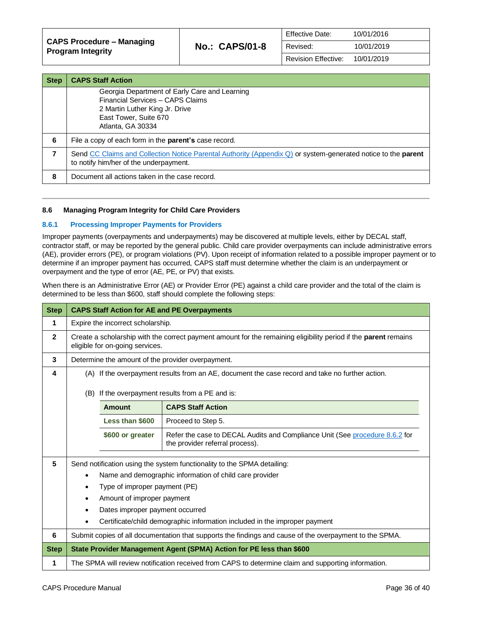| CAPS Procedure – Managing<br><b>Program Integrity</b> | <b>No.: CAPS/01-8</b> | <b>Effective Date:</b>     | 10/01/2016 |
|-------------------------------------------------------|-----------------------|----------------------------|------------|
|                                                       |                       | Revised:                   | 10/01/2019 |
|                                                       |                       | <b>Revision Effective:</b> | 10/01/2019 |

| <b>Step</b> | <b>CAPS Staff Action</b>                                                                                                                                          |
|-------------|-------------------------------------------------------------------------------------------------------------------------------------------------------------------|
|             | Georgia Department of Early Care and Learning<br>Financial Services - CAPS Claims<br>2 Martin Luther King Jr. Drive<br>East Tower, Suite 670<br>Atlanta, GA 30334 |
| 6           | File a copy of each form in the <b>parent's</b> case record.                                                                                                      |
| 7           | Send CC Claims and Collection Notice Parental Authority (Appendix Q) or system-generated notice to the parent<br>to notify him/her of the underpayment.           |
| 8           | Document all actions taken in the case record.                                                                                                                    |

#### <span id="page-35-0"></span>**8.6 Managing Program Integrity for Child Care Providers**

#### **8.6.1 Processing Improper Payments for Providers**

Improper payments (overpayments and underpayments) may be discovered at multiple levels, either by DECAL staff, contractor staff, or may be reported by the general public. Child care provider overpayments can include administrative errors (AE), provider errors (PE), or program violations (PV). Upon receipt of information related to a possible improper payment or to determine if an improper payment has occurred, CAPS staff must determine whether the claim is an underpayment or overpayment and the type of error (AE, PE, or PV) that exists.

When there is an Administrative Error (AE) or Provider Error (PE) against a child care provider and the total of the claim is determined to be less than \$600, staff should complete the following steps:

| <b>Step</b>    | <b>CAPS Staff Action for AE and PE Overpayments</b>                                                     |                                 |                                                                                                                 |
|----------------|---------------------------------------------------------------------------------------------------------|---------------------------------|-----------------------------------------------------------------------------------------------------------------|
| 1              | Expire the incorrect scholarship.                                                                       |                                 |                                                                                                                 |
| $\overline{2}$ |                                                                                                         | eligible for on-going services. | Create a scholarship with the correct payment amount for the remaining eligibility period if the parent remains |
| 3              |                                                                                                         |                                 | Determine the amount of the provider overpayment.                                                               |
| 4              |                                                                                                         |                                 | (A) If the overpayment results from an AE, document the case record and take no further action.                 |
|                | (B)                                                                                                     |                                 | If the overpayment results from a PE and is:                                                                    |
|                |                                                                                                         | <b>Amount</b>                   | <b>CAPS Staff Action</b>                                                                                        |
|                |                                                                                                         | Less than \$600                 | Proceed to Step 5.                                                                                              |
|                |                                                                                                         | \$600 or greater                | Refer the case to DECAL Audits and Compliance Unit (See procedure 8.6.2 for<br>the provider referral process).  |
| 5              | Send notification using the system functionality to the SPMA detailing:                                 |                                 |                                                                                                                 |
|                | Name and demographic information of child care provider<br>$\bullet$                                    |                                 |                                                                                                                 |
|                | Type of improper payment (PE)                                                                           |                                 |                                                                                                                 |
|                | Amount of improper payment                                                                              |                                 |                                                                                                                 |
|                | Dates improper payment occurred                                                                         |                                 |                                                                                                                 |
|                | Certificate/child demographic information included in the improper payment                              |                                 |                                                                                                                 |
| 6              | Submit copies of all documentation that supports the findings and cause of the overpayment to the SPMA. |                                 |                                                                                                                 |
| <b>Step</b>    | State Provider Management Agent (SPMA) Action for PE less than \$600                                    |                                 |                                                                                                                 |
| 1              |                                                                                                         |                                 | The SPMA will review notification received from CAPS to determine claim and supporting information.             |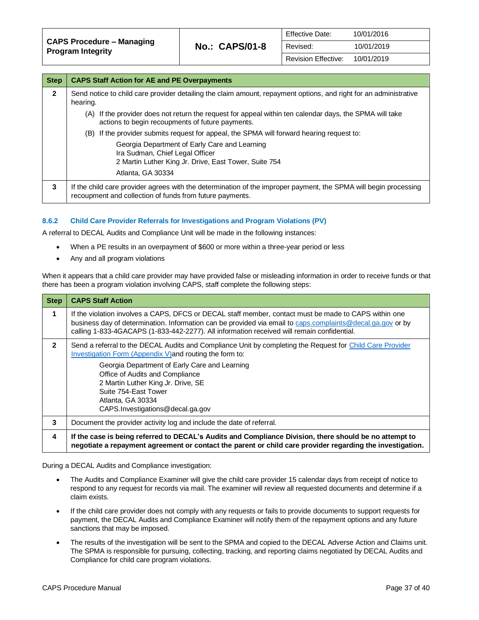| <b>Effective Date:</b>         | 10/01/2016 |
|--------------------------------|------------|
| Revised:                       | 10/01/2019 |
| Revision Effective: 10/01/2019 |            |

| <b>Step</b>  | <b>CAPS Staff Action for AE and PE Overpayments</b>                                                                                                                          |  |  |  |  |
|--------------|------------------------------------------------------------------------------------------------------------------------------------------------------------------------------|--|--|--|--|
| $\mathbf{2}$ | Send notice to child care provider detailing the claim amount, repayment options, and right for an administrative<br>hearing.                                                |  |  |  |  |
|              | If the provider does not return the request for appeal within ten calendar days, the SPMA will take<br>(A)<br>actions to begin recoupments of future payments.               |  |  |  |  |
|              | (B) If the provider submits request for appeal, the SPMA will forward hearing request to:                                                                                    |  |  |  |  |
|              | Georgia Department of Early Care and Learning<br>Ira Sudman, Chief Legal Officer<br>2 Martin Luther King Jr. Drive, East Tower, Suite 754                                    |  |  |  |  |
|              | Atlanta, GA 30334                                                                                                                                                            |  |  |  |  |
| 3            | If the child care provider agrees with the determination of the improper payment, the SPMA will begin processing<br>recoupment and collection of funds from future payments. |  |  |  |  |

#### <span id="page-36-0"></span>**8.6.2 Child Care Provider Referrals for Investigations and Program Violations (PV)**

A referral to DECAL Audits and Compliance Unit will be made in the following instances:

- When a PE results in an overpayment of \$600 or more within a three-year period or less
- Any and all program violations

When it appears that a child care provider may have provided false or misleading information in order to receive funds or that there has been a program violation involving CAPS, staff complete the following steps:

| <b>Step</b>  | <b>CAPS Staff Action</b>                                                                                                                                                                                                                                                                                                                                                         |
|--------------|----------------------------------------------------------------------------------------------------------------------------------------------------------------------------------------------------------------------------------------------------------------------------------------------------------------------------------------------------------------------------------|
| 1            | If the violation involves a CAPS, DFCS or DECAL staff member, contact must be made to CAPS within one<br>business day of determination. Information can be provided via email to caps.complaints@decal.ga.gov or by<br>calling 1-833-4GACAPS (1-833-442-2277). All information received will remain confidential.                                                                |
| $\mathbf{2}$ | Send a referral to the DECAL Audits and Compliance Unit by completing the Request for Child Care Provider<br>Investigation Form (Appendix V) and routing the form to:<br>Georgia Department of Early Care and Learning<br>Office of Audits and Compliance<br>2 Martin Luther King Jr. Drive, SE<br>Suite 754-East Tower<br>Atlanta, GA 30334<br>CAPS.Investigations@decal.ga.gov |
| 3            | Document the provider activity log and include the date of referral.                                                                                                                                                                                                                                                                                                             |
| 4            | If the case is being referred to DECAL's Audits and Compliance Division, there should be no attempt to<br>negotiate a repayment agreement or contact the parent or child care provider regarding the investigation.                                                                                                                                                              |

During a DECAL Audits and Compliance investigation:

- The Audits and Compliance Examiner will give the child care provider 15 calendar days from receipt of notice to respond to any request for records via mail. The examiner will review all requested documents and determine if a claim exists.
- If the child care provider does not comply with any requests or fails to provide documents to support requests for payment, the DECAL Audits and Compliance Examiner will notify them of the repayment options and any future sanctions that may be imposed.
- The results of the investigation will be sent to the SPMA and copied to the DECAL Adverse Action and Claims unit. The SPMA is responsible for pursuing, collecting, tracking, and reporting claims negotiated by DECAL Audits and Compliance for child care program violations.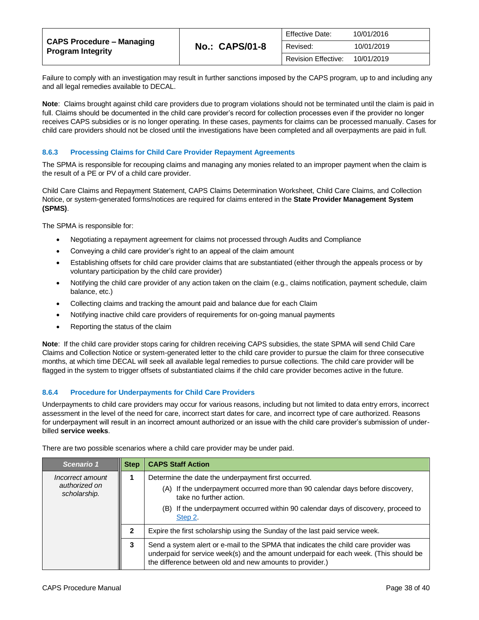| CAPS Procedure – Managing<br><b>Program Integrity</b> | <b>No.: CAPS/01-8</b> | <b>Effective Date:</b>     | 10/01/2016 |
|-------------------------------------------------------|-----------------------|----------------------------|------------|
|                                                       |                       | Revised:                   | 10/01/2019 |
|                                                       |                       | <b>Revision Effective:</b> | 10/01/2019 |

Failure to comply with an investigation may result in further sanctions imposed by the CAPS program, up to and including any and all legal remedies available to DECAL.

**Note**: Claims brought against child care providers due to program violations should not be terminated until the claim is paid in full. Claims should be documented in the child care provider's record for collection processes even if the provider no longer receives CAPS subsidies or is no longer operating. In these cases, payments for claims can be processed manually. Cases for child care providers should not be closed until the investigations have been completed and all overpayments are paid in full.

#### **8.6.3 Processing Claims for Child Care Provider Repayment Agreements**

The SPMA is responsible for recouping claims and managing any monies related to an improper payment when the claim is the result of a PE or PV of a child care provider.

Child Care Claims and Repayment Statement, CAPS Claims Determination Worksheet, Child Care Claims, and Collection Notice, or system-generated forms/notices are required for claims entered in the **State Provider Management System (SPMS)**.

The SPMA is responsible for:

- Negotiating a repayment agreement for claims not processed through Audits and Compliance
- Conveying a child care provider's right to an appeal of the claim amount
- Establishing offsets for child care provider claims that are substantiated (either through the appeals process or by voluntary participation by the child care provider)
- Notifying the child care provider of any action taken on the claim (e.g., claims notification, payment schedule, claim balance, etc.)
- Collecting claims and tracking the amount paid and balance due for each Claim
- Notifying inactive child care providers of requirements for on-going manual payments
- Reporting the status of the claim

**Note**: If the child care provider stops caring for children receiving CAPS subsidies, the state SPMA will send Child Care Claims and Collection Notice or system-generated letter to the child care provider to pursue the claim for three consecutive months, at which time DECAL will seek all available legal remedies to pursue collections. The child care provider will be flagged in the system to trigger offsets of substantiated claims if the child care provider becomes active in the future.

#### **8.6.4 Procedure for Underpayments for Child Care Providers**

Underpayments to child care providers may occur for various reasons, including but not limited to data entry errors, incorrect assessment in the level of the need for care, incorrect start dates for care, and incorrect type of care authorized. Reasons for underpayment will result in an incorrect amount authorized or an issue with the child care provider's submission of underbilled **service weeks**.

There are two possible scenarios where a child care provider may be under paid.

<span id="page-37-0"></span>

| Scenario 1                                        | <b>Step</b> | <b>CAPS Staff Action</b>                                                                                                                                                                                                                                           |
|---------------------------------------------------|-------------|--------------------------------------------------------------------------------------------------------------------------------------------------------------------------------------------------------------------------------------------------------------------|
| Incorrect amount<br>authorized on<br>scholarship. |             | Determine the date the underpayment first occurred.<br>(A) If the underpayment occurred more than 90 calendar days before discovery,<br>take no further action.<br>If the underpayment occurred within 90 calendar days of discovery, proceed to<br>(B)<br>Step 2. |
|                                                   |             | Expire the first scholarship using the Sunday of the last paid service week.                                                                                                                                                                                       |
|                                                   | 3           | Send a system alert or e-mail to the SPMA that indicates the child care provider was<br>underpaid for service week(s) and the amount underpaid for each week. (This should be<br>the difference between old and new amounts to provider.)                          |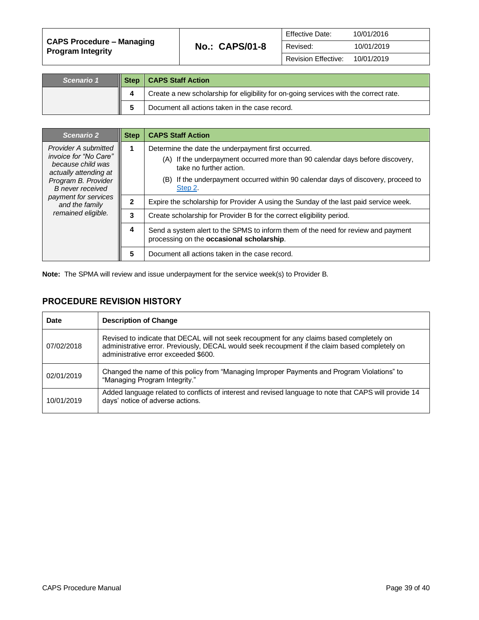| CAPS Procedure – Managing<br><b>Program Integrity</b> | <b>No.: CAPS/01-8</b> | <b>Effective Date:</b>     | 10/01/2016 |
|-------------------------------------------------------|-----------------------|----------------------------|------------|
|                                                       |                       | Revised:                   | 10/01/2019 |
|                                                       |                       | <b>Revision Effective:</b> | 10/01/2019 |

| Scenario 1 | III Step | <b>CAPS Staff Action</b>                                                              |
|------------|----------|---------------------------------------------------------------------------------------|
|            |          | Create a new scholarship for eligibility for on-going services with the correct rate. |
|            |          | Document all actions taken in the case record.                                        |

<span id="page-38-0"></span>

| Scenario 2                                                                                                                                                                                                    | <b>Step</b> | <b>CAPS Staff Action</b>                                                                                                                                                                                                                                        |
|---------------------------------------------------------------------------------------------------------------------------------------------------------------------------------------------------------------|-------------|-----------------------------------------------------------------------------------------------------------------------------------------------------------------------------------------------------------------------------------------------------------------|
| Provider A submitted<br>invoice for "No Care"<br>because child was<br>actually attending at<br>Program B. Provider<br><b>B</b> never received<br>payment for services<br>and the family<br>remained eligible. |             | Determine the date the underpayment first occurred.<br>(A) If the underpayment occurred more than 90 calendar days before discovery,<br>take no further action.<br>(B) If the underpayment occurred within 90 calendar days of discovery, proceed to<br>Step 2. |
|                                                                                                                                                                                                               |             | Expire the scholarship for Provider A using the Sunday of the last paid service week.                                                                                                                                                                           |
|                                                                                                                                                                                                               | 3           | Create scholarship for Provider B for the correct eligibility period.                                                                                                                                                                                           |
|                                                                                                                                                                                                               | 4           | Send a system alert to the SPMS to inform them of the need for review and payment<br>processing on the occasional scholarship.                                                                                                                                  |
|                                                                                                                                                                                                               | 5           | Document all actions taken in the case record.                                                                                                                                                                                                                  |

**Note:** The SPMA will review and issue underpayment for the service week(s) to Provider B.

## **PROCEDURE REVISION HISTORY**

| Date       | <b>Description of Change</b>                                                                                                                                                                                                         |
|------------|--------------------------------------------------------------------------------------------------------------------------------------------------------------------------------------------------------------------------------------|
| 07/02/2018 | Revised to indicate that DECAL will not seek recoupment for any claims based completely on<br>administrative error. Previously, DECAL would seek recoupment if the claim based completely on<br>administrative error exceeded \$600. |
| 02/01/2019 | Changed the name of this policy from "Managing Improper Payments and Program Violations" to<br>"Managing Program Integrity."                                                                                                         |
| 10/01/2019 | Added language related to conflicts of interest and revised language to note that CAPS will provide 14<br>days' notice of adverse actions.                                                                                           |